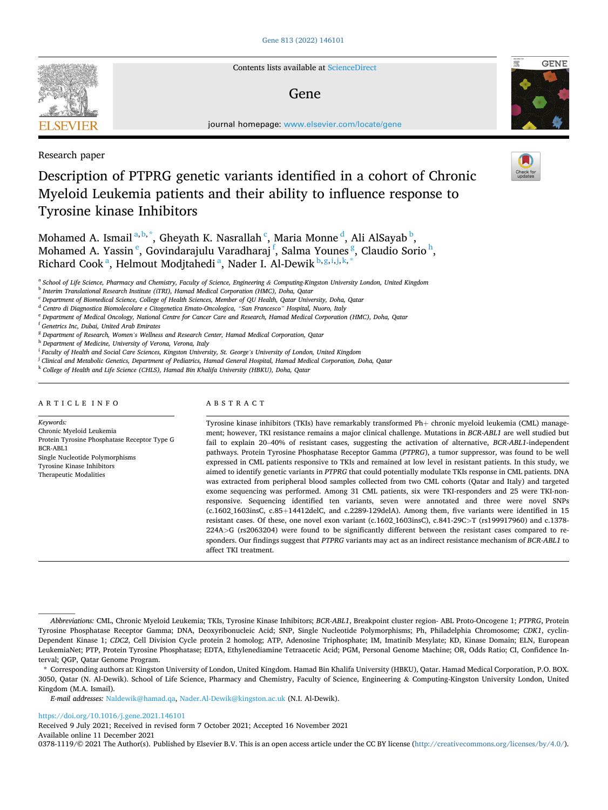

Contents lists available at [ScienceDirect](www.sciencedirect.com/science/journal/03781119)

## Gene



journal homepage: [www.elsevier.com/locate/gene](https://www.elsevier.com/locate/gene) 

## Research paper

# Description of PTPRG genetic variants identified in a cohort of Chronic Myeloid Leukemia patients and their ability to influence response to Tyrosine kinase Inhibitors

Mohamed A. Ismail<sup>a, b,\*</sup>, Gheyath K. Nasrallah <sup>c</sup>, Maria Monne <sup>d</sup>, Ali AlSayab <sup>b</sup>, Mohamed A. Yassin<sup>e</sup>, Govindarajulu Varadharaj<sup>f</sup>, Salma Younes<sup>g</sup>, Claudio Sorio<sup>h</sup>, Richard Cook<sup>a</sup>, Helmout Modjtahedi<sup>a</sup>, Nader I. Al-Dewik  $^{\rm b,g,i,j,k,*}$ 

<sup>a</sup> School of Life Science, Pharmacy and Chemistry, Faculty of Science, Engineering & Computing-Kingston University London, United Kingdom

<sup>d</sup> *Centro di Diagnostica Biomolecolare e Citogenetica Emato-Oncologica, "San Francesco" Hospital, Nuoro, Italy* 

<sup>e</sup> *Department of Medical Oncology, National Centre for Cancer Care and Research, Hamad Medical Corporation (HMC), Doha, Qatar* 

<sup>f</sup> *Genetrics Inc, Dubai, United Arab Emirates* 

<sup>g</sup> *Department of Research, Women's Wellness and Research Center, Hamad Medical Corporation, Qatar* 

<sup>h</sup> *Department of Medicine, University of Verona, Verona, Italy* 

<sup>i</sup> *Faculty of Health and Social Care Sciences, Kingston University, St. George's University of London, United Kingdom* 

<sup>j</sup> *Clinical and Metabolic Genetics, Department of Pediatrics, Hamad General Hospital, Hamad Medical Corporation, Doha, Qatar* 

<sup>k</sup> *College of Health and Life Science (CHLS), Hamad Bin Khalifa University (HBKU), Doha, Qatar* 

## ARTICLE INFO

## ABSTRACT

*Keywords:*  Chronic Myeloid Leukemia Protein Tyrosine Phosphatase Receptor Type G BCR-ABL1 Single Nucleotide Polymorphisms Tyrosine Kinase Inhibitors Therapeutic Modalities

Tyrosine kinase inhibitors (TKIs) have remarkably transformed Ph+ chronic myeloid leukemia (CML) management; however, TKI resistance remains a major clinical challenge. Mutations in *BCR-ABL1* are well studied but fail to explain 20–40% of resistant cases, suggesting the activation of alternative, *BCR-ABL1*-independent pathways. Protein Tyrosine Phosphatase Receptor Gamma (*PTPRG*), a tumor suppressor, was found to be well expressed in CML patients responsive to TKIs and remained at low level in resistant patients. In this study, we aimed to identify genetic variants in *PTPRG* that could potentially modulate TKIs response in CML patients. DNA was extracted from peripheral blood samples collected from two CML cohorts (Qatar and Italy) and targeted exome sequencing was performed. Among 31 CML patients, six were TKI-responders and 25 were TKI-nonresponsive. Sequencing identified ten variants, seven were annotated and three were novel SNPs (c.1602\_1603insC, c.85+14412delC, and c.2289-129delA). Among them, five variants were identified in 15 resistant cases. Of these, one novel exon variant (c.1602\_1603insC), c.841-29C*>*T (rs199917960) and c.1378- 224A*>*G (rs2063204) were found to be significantly different between the resistant cases compared to responders. Our findings suggest that *PTPRG* variants may act as an indirect resistance mechanism of *BCR-ABL1* to affect TKI treatment.

*E-mail addresses:* [Naldewik@hamad.qa,](mailto:Naldewik@hamad.qa) [Nader.Al-Dewik@kingston.ac.uk](mailto:Nader.Al-Dewik@kingston.ac.uk) (N.I. Al-Dewik).

<https://doi.org/10.1016/j.gene.2021.146101>

Available online 11 December 2021 Received 9 July 2021; Received in revised form 7 October 2021; Accepted 16 November 2021

0378-1119/© 2021 The Author(s). Published by Elsevier B.V. This is an open access article under the CC BY license [\(http://creativecommons.org/licenses/by/4.0/\)](http://creativecommons.org/licenses/by/4.0/).

<sup>b</sup> *Interim Translational Research Institute (iTRI), Hamad Medical Corporation (HMC), Doha, Qatar* 

<sup>c</sup> *Department of Biomedical Science, College of Health Sciences, Member of QU Health, Qatar University, Doha, Qatar* 

*Abbreviations:* CML, Chronic Myeloid Leukemia; TKIs, Tyrosine Kinase Inhibitors; *BCR-ABL1*, Breakpoint cluster region- ABL Proto-Oncogene 1; *PTPRG*, Protein Tyrosine Phosphatase Receptor Gamma; DNA, Deoxyribonucleic Acid; SNP, Single Nucleotide Polymorphisms; Ph, Philadelphia Chromosome; *CDK1*, cyclin-Dependent Kinase 1; *CDC2*, Cell Division Cycle protein 2 homolog; ATP, Adenosine Triphosphate; IM, Imatinib Mesylate; KD, Kinase Domain; ELN, European LeukemiaNet; PTP, Protein Tyrosine Phosphatase; EDTA, Ethylenediamine Tetraacetic Acid; PGM, Personal Genome Machine; OR, Odds Ratio; CI, Confidence Interval; QGP, Qatar Genome Program.

<sup>\*</sup> Corresponding authors at: Kingston University of London, United Kingdom. Hamad Bin Khalifa University (HBKU), Qatar. Hamad Medical Corporation, P.O. BOX. 3050, Qatar (N. Al-Dewik). School of Life Science, Pharmacy and Chemistry, Faculty of Science, Engineering & Computing-Kingston University London, United Kingdom (M.A. Ismail).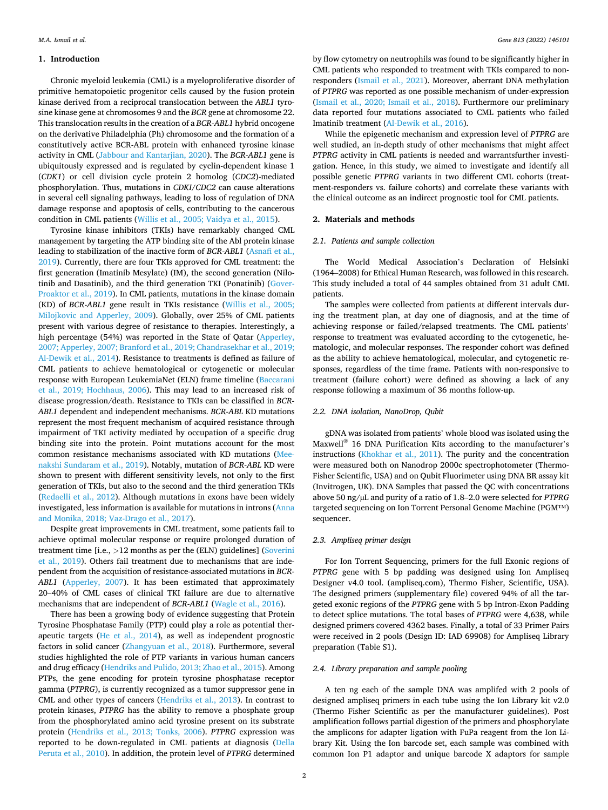## **1. Introduction**

Chronic myeloid leukemia (CML) is a myeloproliferative disorder of primitive hematopoietic progenitor cells caused by the fusion protein kinase derived from a reciprocal translocation between the *ABL1* tyrosine kinase gene at chromosomes 9 and the *BCR* gene at chromosome 22. This translocation results in the creation of a *BCR*-*ABL1* hybrid oncogene on the derivative Philadelphia (Ph) chromosome and the formation of a constitutively active BCR-ABL protein with enhanced tyrosine kinase activity in CML [\(Jabbour and Kantarjian, 2020\)](#page-7-0). The *BCR*-*ABL1* gene is ubiquitously expressed and is regulated by cyclin-dependent kinase 1 (*CDK1*) or cell division cycle protein 2 homolog (*CDC2*)-mediated phosphorylation. Thus, mutations in *CDKI/CDC2* can cause alterations in several cell signaling pathways, leading to loss of regulation of DNA damage response and apoptosis of cells, contributing to the cancerous condition in CML patients ([Willis et al., 2005; Vaidya et al., 2015](#page-8-0)).

Tyrosine kinase inhibitors (TKIs) have remarkably changed CML management by targeting the ATP binding site of the Abl protein kinase leading to stabilization of the inactive form of *BCR-ABL1* [\(Asnafi et al.,](#page-7-0)  [2019\)](#page-7-0). Currently, there are four TKIs approved for CML treatment: the first generation (Imatinib Mesylate) (IM), the second generation (Nilotinib and Dasatinib), and the third generation TKI (Ponatinib) [\(Gover-](#page-7-0)[Proaktor et al., 2019](#page-7-0)). In CML patients, mutations in the kinase domain (KD) of *BCR-ABL1* gene result in TKIs resistance ([Willis et al., 2005;](#page-8-0)  [Milojkovic and Apperley, 2009\)](#page-8-0). Globally, over 25% of CML patients present with various degree of resistance to therapies. Interestingly, a high percentage (54%) was reported in the State of Qatar ([Apperley,](#page-7-0)  [2007; Apperley, 2007; Branford et al., 2019; Chandrasekhar et al., 2019;](#page-7-0)  [Al-Dewik et al., 2014](#page-7-0)). Resistance to treatments is defined as failure of CML patients to achieve hematological or cytogenetic or molecular response with European LeukemiaNet (ELN) frame timeline [\(Baccarani](#page-7-0)  [et al., 2019; Hochhaus, 2006](#page-7-0)). This may lead to an increased risk of disease progression/death. Resistance to TKIs can be classified in *BCR-ABL1* dependent and independent mechanisms. *BCR-ABL* KD mutations represent the most frequent mechanism of acquired resistance through impairment of TKI activity mediated by occupation of a specific drug binding site into the protein. Point mutations account for the most common resistance mechanisms associated with KD mutations [\(Mee](#page-7-0)[nakshi Sundaram et al., 2019\)](#page-7-0). Notably, mutation of *BCR-ABL* KD were shown to present with different sensitivity levels, not only to the first generation of TKIs, but also to the second and the third generation TKIs ([Redaelli et al., 2012\)](#page-7-0). Although mutations in exons have been widely investigated, less information is available for mutations in introns [\(Anna](#page-7-0)  [and Monika, 2018; Vaz-Drago et al., 2017](#page-7-0)).

Despite great improvements in CML treatment, some patients fail to achieve optimal molecular response or require prolonged duration of treatment time [i.e., *>*12 months as per the (ELN) guidelines] ([Soverini](#page-7-0)  [et al., 2019](#page-7-0)). Others fail treatment due to mechanisms that are independent from the acquisition of resistance-associated mutations in *BCR-ABL1* [\(Apperley, 2007](#page-7-0)). It has been estimated that approximately 20–40% of CML cases of clinical TKI failure are due to alternative mechanisms that are independent of *BCR-ABL1* [\(Wagle et al., 2016\)](#page-8-0).

There has been a growing body of evidence suggesting that Protein Tyrosine Phosphatase Family (PTP) could play a role as potential therapeutic targets ([He et al., 2014](#page-7-0)), as well as independent prognostic factors in solid cancer ([Zhangyuan et al., 2018](#page-8-0)). Furthermore, several studies highlighted the role of PTP variants in various human cancers and drug efficacy [\(Hendriks and Pulido, 2013; Zhao et al., 2015\)](#page-7-0). Among PTPs, the gene encoding for protein tyrosine phosphatase receptor gamma (*PTPRG*), is currently recognized as a tumor suppressor gene in CML and other types of cancers ([Hendriks et al., 2013\)](#page-7-0). In contrast to protein kinases, *PTPRG* has the ability to remove a phosphate group from the phosphorylated amino acid tyrosine present on its substrate protein ([Hendriks et al., 2013; Tonks, 2006](#page-7-0)). *PTPRG* expression was reported to be down-regulated in CML patients at diagnosis [\(Della](#page-7-0)  [Peruta et al., 2010\)](#page-7-0). In addition, the protein level of *PTPRG* determined

by flow cytometry on neutrophils was found to be significantly higher in CML patients who responded to treatment with TKIs compared to nonresponders ([Ismail et al., 2021\)](#page-7-0). Moreover, aberrant DNA methylation of *PTPRG* was reported as one possible mechanism of under-expression ([Ismail et al., 2020; Ismail et al., 2018\)](#page-7-0). Furthermore our preliminary data reported four mutations associated to CML patients who failed Imatinib treatment ([Al-Dewik et al., 2016](#page-7-0)).

While the epigenetic mechanism and expression level of *PTPRG* are well studied, an in-depth study of other mechanisms that might affect *PTPRG* activity in CML patients is needed and warrantsfurther investigation. Hence, in this study, we aimed to investigate and identify all possible genetic *PTPRG* variants in two different CML cohorts (treatment-responders vs. failure cohorts) and correlate these variants with the clinical outcome as an indirect prognostic tool for CML patients.

#### **2. Materials and methods**

## *2.1. Patients and sample collection*

The World Medical Association's Declaration of Helsinki (1964–2008) for Ethical Human Research, was followed in this research. This study included a total of 44 samples obtained from 31 adult CML patients.

The samples were collected from patients at different intervals during the treatment plan, at day one of diagnosis, and at the time of achieving response or failed/relapsed treatments. The CML patients' response to treatment was evaluated according to the cytogenetic, hematologic, and molecular responses. The responder cohort was defined as the ability to achieve hematological, molecular, and cytogenetic responses, regardless of the time frame. Patients with non-responsive to treatment (failure cohort) were defined as showing a lack of any response following a maximum of 36 months follow-up.

## *2.2. DNA isolation, NanoDrop, Qubit*

gDNA was isolated from patients' whole blood was isolated using the Maxwell® 16 DNA Purification Kits according to the manufacturer's instructions [\(Khokhar et al., 2011](#page-7-0)). The purity and the concentration were measured both on Nanodrop 2000c spectrophotometer (Thermo-Fisher Scientific, USA) and on Qubit Fluorimeter using DNA BR assay kit (Invitrogen, UK). DNA Samples that passed the QC with concentrations above 50 ng/µL and purity of a ratio of 1.8–2.0 were selected for *PTPRG*  targeted sequencing on Ion Torrent Personal Genome Machine (PGM™) sequencer.

## *2.3. Ampliseq primer design*

For Ion Torrent Sequencing, primers for the full Exonic regions of *PTPRG* gene with 5 bp padding was designed using Ion Ampliseq Designer v4.0 tool. (ampliseq.com), Thermo Fisher, Scientific, USA). The designed primers (supplementary file) covered 94% of all the targeted exonic regions of the *PTPRG* gene with 5 bp Intron-Exon Padding to detect splice mutations. The total bases of *PTPRG* were 4,638, while designed primers covered 4362 bases. Finally, a total of 33 Primer Pairs were received in 2 pools (Design ID: IAD 69908) for Ampliseq Library preparation (Table S1).

#### *2.4. Library preparation and sample pooling*

A ten ng each of the sample DNA was amplifed with 2 pools of designed ampliseq primers in each tube using the Ion Library kit v2.0 (Thermo Fisher Scientific as per the manufacturer guidelines). Post amplification follows partial digestion of the primers and phosphorylate the amplicons for adapter ligation with FuPa reagent from the Ion Library Kit. Using the Ion barcode set, each sample was combined with common Ion P1 adaptor and unique barcode X adaptors for sample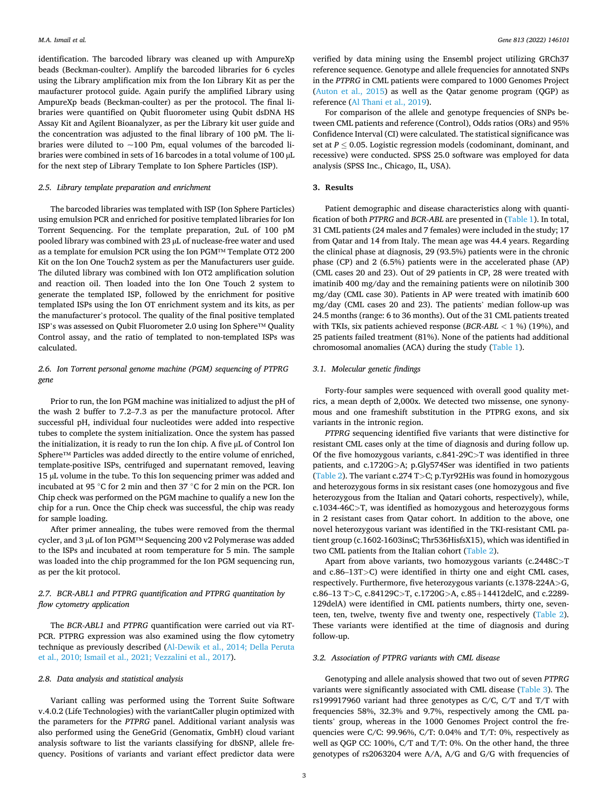identification. The barcoded library was cleaned up with AmpureXp beads (Beckman-coulter). Amplify the barcoded libraries for 6 cycles using the Library amplification mix from the Ion Library Kit as per the maufacturer protocol guide. Again purify the amplified Library using AmpureXp beads (Beckman-coulter) as per the protocol. The final libraries were quantified on Qubit fluorometer using Qubit dsDNA HS Assay Kit and Agilent Bioanalyzer, as per the Library kit user guide and the concentration was adjusted to the final library of 100 pM. The libraries were diluted to  $\sim$ 100 Pm, equal volumes of the barcoded libraries were combined in sets of 16 barcodes in a total volume of 100 µL for the next step of Library Template to Ion Sphere Particles (ISP).

## *2.5. Library template preparation and enrichment*

The barcoded libraries was templated with ISP (Ion Sphere Particles) using emulsion PCR and enriched for positive templated libraries for Ion Torrent Sequencing. For the template preparation, 2uL of 100 pM pooled library was combined with 23 µL of nuclease-free water and used as a template for emulsion PCR using the Ion PGM™ Template OT2 200 Kit on the Ion One Touch2 system as per the Manufacturers user guide. The diluted library was combined with Ion OT2 amplification solution and reaction oil. Then loaded into the Ion One Touch 2 system to generate the templated ISP, followed by the enrichment for positive templated ISPs using the Ion OT enrichment system and its kits, as per the manufacturer's protocol. The quality of the final positive templated ISP's was assessed on Qubit Fluorometer 2.0 using Ion Sphere™ Quality Control assay, and the ratio of templated to non-templated ISPs was calculated.

## *2.6. Ion Torrent personal genome machine (PGM) sequencing of PTPRG gene*

Prior to run, the Ion PGM machine was initialized to adjust the pH of the wash 2 buffer to 7.2–7.3 as per the manufacture protocol. After successful pH, individual four nucleotides were added into respective tubes to complete the system initialization. Once the system has passed the initialization, it is ready to run the Ion chip. A five μL of Control Ion Sphere™ Particles was added directly to the entire volume of enriched, template-positive ISPs, centrifuged and supernatant removed, leaving 15 µL volume in the tube. To this Ion sequencing primer was added and incubated at 95 ◦C for 2 min and then 37 ◦C for 2 min on the PCR. Ion Chip check was performed on the PGM machine to qualify a new Ion the chip for a run. Once the Chip check was successful, the chip was ready for sample loading.

After primer annealing, the tubes were removed from the thermal cycler, and 3 µL of Ion PGM™ Sequencing 200 v2 Polymerase was added to the ISPs and incubated at room temperature for 5 min. The sample was loaded into the chip programmed for the Ion PGM sequencing run, as per the kit protocol.

## *2.7. BCR-ABL1 and PTPRG quantification and PTPRG quantitation by flow cytometry application*

The *BCR-ABL1* and *PTPRG* quantification were carried out via RT-PCR. PTPRG expression was also examined using the flow cytometry technique as previously described ([Al-Dewik et al., 2014; Della Peruta](#page-7-0)  [et al., 2010; Ismail et al., 2021; Vezzalini et al., 2017](#page-7-0)).

#### *2.8. Data analysis and statistical analysis*

Variant calling was performed using the Torrent Suite Software v.4.0.2 (Life Technologies) with the variantCaller plugin optimized with the parameters for the *PTPRG* panel. Additional variant analysis was also performed using the GeneGrid (Genomatix, GmbH) cloud variant analysis software to list the variants classifying for dbSNP, allele frequency. Positions of variants and variant effect predictor data were

verified by data mining using the Ensembl project utilizing GRCh37 reference sequence. Genotype and allele frequencies for annotated SNPs in the *PTPRG* in CML patients were compared to 1000 Genomes Project ([Auton et al., 2015\)](#page-7-0) as well as the Qatar genome program (QGP) as reference ([Al Thani et al., 2019\)](#page-7-0).

For comparison of the allele and genotype frequencies of SNPs between CML patients and reference (Control), Odds ratios (ORs) and 95% Confidence Interval (CI) were calculated. The statistical significance was set at  $P \leq 0.05$ . Logistic regression models (codominant, dominant, and recessive) were conducted. SPSS 25.0 software was employed for data analysis (SPSS Inc., Chicago, IL, USA).

## **3. Results**

Patient demographic and disease characteristics along with quantification of both *PTPRG* and *BCR-ABL* are presented in [\(Table 1](#page-3-0)). In total, 31 CML patients (24 males and 7 females) were included in the study; 17 from Qatar and 14 from Italy. The mean age was 44.4 years. Regarding the clinical phase at diagnosis, 29 (93.5%) patients were in the chronic phase (CP) and 2 (6.5%) patients were in the accelerated phase (AP) (CML cases 20 and 23). Out of 29 patients in CP, 28 were treated with imatinib 400 mg/day and the remaining patients were on nilotinib 300 mg/day (CML case 30). Patients in AP were treated with imatinib 600 mg/day (CML cases 20 and 23). The patients' median follow-up was 24.5 months (range: 6 to 36 months). Out of the 31 CML patients treated with TKIs, six patients achieved response (*BCR-ABL <* 1 %) (19%), and 25 patients failed treatment (81%). None of the patients had additional chromosomal anomalies (ACA) during the study [\(Table 1\)](#page-3-0).

## *3.1. Molecular genetic findings*

Forty-four samples were sequenced with overall good quality metrics, a mean depth of 2,000x. We detected two missense, one synonymous and one frameshift substitution in the PTPRG exons, and six variants in the intronic region.

*PTPRG* sequencing identified five variants that were distinctive for resistant CML cases only at the time of diagnosis and during follow up. Of the five homozygous variants, c.841-29C*>*T was identified in three patients, and c.1720G*>*A; p.Gly574Ser was identified in two patients ([Table 2](#page-3-0)). The variant c.274 T*>*C; p.Tyr92His was found in homozygous and heterozygous forms in six resistant cases (one homozygous and five heterozygous from the Italian and Qatari cohorts, respectively), while, c.1034-46C*>*T, was identified as homozygous and heterozygous forms in 2 resistant cases from Qatar cohort. In addition to the above, one novel heterozygous variant was identified in the TKI-resistant CML patient group (c.1602-1603insC; Thr536HisfsX15), which was identified in two CML patients from the Italian cohort [\(Table 2\)](#page-3-0).

Apart from above variants, two homozygous variants (c.2448C*>*T and c.86–13T*>*C) were identified in thirty one and eight CML cases, respectively. Furthermore, five heterozygous variants (c.1378-224A*>*G, c.86–13 T*>*C, c.84129C*>*T, c.1720G*>*A, c.85+14412delC, and c.2289- 129delA) were identified in CML patients numbers, thirty one, seventeen, ten, twelve, twenty five and twenty one, respectively [\(Table 2](#page-3-0)). These variants were identified at the time of diagnosis and during follow-up.

#### *3.2. Association of PTPRG variants with CML disease*

Genotyping and allele analysis showed that two out of seven *PTPRG*  variants were significantly associated with CML disease ([Table 3\)](#page-4-0). The rs199917960 variant had three genotypes as C/C, C/T and T/T with frequencies 58%, 32.3% and 9.7%, respectively among the CML patients' group, whereas in the 1000 Genomes Project control the frequencies were C/C: 99.96%, C/T: 0.04% and T/T: 0%, respectively as well as QGP CC: 100%, C/T and T/T: 0%. On the other hand, the three genotypes of rs2063204 were A/A, A/G and G/G with frequencies of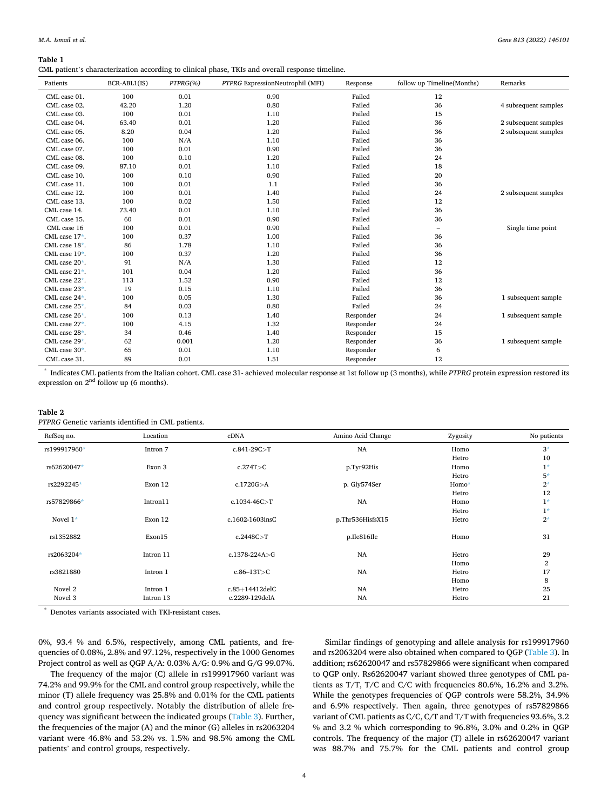<span id="page-3-0"></span>**Table 1** 

CML patient's characterization according to clinical phase, TKIs and overall response timeline.

| Patients          | BCR-ABL1(IS) | $PTPRG(% \theta)$ | PTPRG ExpressionNeutrophil (MFI) | Response  | follow up Timeline(Months) | Remarks              |
|-------------------|--------------|-------------------|----------------------------------|-----------|----------------------------|----------------------|
| CML case 01.      | 100          | 0.01              | 0.90                             | Failed    | 12                         |                      |
| CML case 02.      | 42.20        | 1.20              | 0.80                             | Failed    | 36                         | 4 subsequent samples |
| CML case 03.      | 100          | 0.01              | 1.10                             | Failed    | 15                         |                      |
| CML case 04.      | 63.40        | 0.01              | 1.20                             | Failed    | 36                         | 2 subsequent samples |
| CML case 05.      | 8.20         | 0.04              | 1.20                             | Failed    | 36                         | 2 subsequent samples |
| CML case 06.      | 100          | N/A               | 1.10                             | Failed    | 36                         |                      |
| CML case 07.      | 100          | 0.01              | 0.90                             | Failed    | 36                         |                      |
| CML case 08.      | 100          | 0.10              | 1.20                             | Failed    | 24                         |                      |
| CML case 09.      | 87.10        | 0.01              | 1.10                             | Failed    | 18                         |                      |
| CML case 10.      | 100          | 0.10              | 0.90                             | Failed    | 20                         |                      |
| CML case 11.      | 100          | 0.01              | 1.1                              | Failed    | 36                         |                      |
| CML case 12.      | 100          | 0.01              | 1.40                             | Failed    | 24                         | 2 subsequent samples |
| CML case 13.      | 100          | 0.02              | 1.50                             | Failed    | 12                         |                      |
| CML case 14.      | 73.40        | 0.01              | 1.10                             | Failed    | 36                         |                      |
| CML case 15.      | 60           | 0.01              | 0.90                             | Failed    | 36                         |                      |
| CML case 16       | 100          | 0.01              | 0.90                             | Failed    | $\overline{\phantom{0}}$   | Single time point    |
| CML case 17*.     | 100          | 0.37              | 1.00                             | Failed    | 36                         |                      |
| CML case 18*.     | 86           | 1.78              | 1.10                             | Failed    | 36                         |                      |
| CML case 19*.     | 100          | 0.37              | 1.20                             | Failed    | 36                         |                      |
| CML case $20^*$ . | 91           | N/A               | 1.30                             | Failed    | 12                         |                      |
| CML case $21^*$ . | 101          | 0.04              | 1.20                             | Failed    | 36                         |                      |
| CML case 22*.     | 113          | 1.52              | 0.90                             | Failed    | 12                         |                      |
| CML case 23*.     | 19           | 0.15              | 1.10                             | Failed    | 36                         |                      |
| CML case 24*.     | 100          | 0.05              | 1.30                             | Failed    | 36                         | 1 subsequent sample  |
| CML case $25^*$ . | 84           | 0.03              | 0.80                             | Failed    | 24                         |                      |
| CML case 26*.     | 100          | 0.13              | 1.40                             | Responder | 24                         | 1 subsequent sample  |
| CML case 27*.     | 100          | 4.15              | 1.32                             | Responder | 24                         |                      |
| CML case 28*.     | 34           | 0.46              | 1.40                             | Responder | 15                         |                      |
| CML case 29*.     | 62           | 0.001             | 1.20                             | Responder | 36                         | 1 subsequent sample  |
| CML case 30*.     | 65           | 0.01              | 1.10                             | Responder | 6                          |                      |
| CML case 31.      | 89           | 0.01              | 1.51                             | Responder | 12                         |                      |

\* Indicates CML patients from the Italian cohort. CML case 31- achieved molecular response at 1st follow up (3 months), while *PTPRG* protein expression restored its expression on  $2<sup>nd</sup>$  follow up (6 months).

## **Table 2**

*PTPRG* Genetic variants identified in CML patients.

| RefSeq no.   | Location  | cDNA                | Amino Acid Change | Zygosity | No patients    |
|--------------|-----------|---------------------|-------------------|----------|----------------|
| rs199917960* | Intron 7  | $c.841-29C > T$     | NA                | Homo     | $3*$           |
|              |           |                     |                   | Hetro    | 10             |
| rs62620047*  | Exon 3    | c.274T>C            | p.Tyr92His        | Homo     | $1*$           |
|              |           |                     |                   | Hetro    | $5*$           |
| rs2292245*   | Exon 12   | c.1720G > A         | p. Gly574Ser      | Homo*    | $2*$           |
|              |           |                     |                   | Hetro    | 12             |
| rs57829866*  | Intron11  | $c.1034-46C>T$      | <b>NA</b>         | Homo     | $1^*$          |
|              |           |                     |                   | Hetro    | $1*$           |
| Novel $1*$   | Exon 12   | c.1602-1603insC     | p.Thr536HisfsX15  | Hetro    | $2^*$          |
| rs1352882    | Exon15    | c.2448C > T         | p.Ile816Ile       | Homo     | 31             |
| rs2063204*   | Intron 11 | c.1378-224A>G       | NA                | Hetro    | 29             |
|              |           |                     |                   | Homo     | $\overline{2}$ |
| rs3821880    | Intron 1  | $c.86 - 13T > C$    | NA                | Hetro    | 17             |
|              |           |                     |                   | Homo     | 8              |
| Novel 2      | Intron 1  | $c.85 + 14412$ delC | NA                | Hetro    | 25             |
| Novel 3      | Intron 13 | c.2289-129delA      | <b>NA</b>         | Hetro    | 21             |

\* Denotes variants associated with TKI-resistant cases.

0%, 93.4 % and 6.5%, respectively, among CML patients, and frequencies of 0.08%, 2.8% and 97.12%, respectively in the 1000 Genomes Project control as well as QGP A/A: 0.03% A/G: 0.9% and G/G 99.07%.

The frequency of the major (C) allele in rs199917960 variant was 74.2% and 99.9% for the CML and control group respectively, while the minor (T) allele frequency was 25.8% and 0.01% for the CML patients and control group respectively. Notably the distribution of allele frequency was significant between the indicated groups [\(Table 3\)](#page-4-0). Further, the frequencies of the major (A) and the minor (G) alleles in rs2063204 variant were 46.8% and 53.2% vs. 1.5% and 98.5% among the CML patients' and control groups, respectively.

Similar findings of genotyping and allele analysis for rs199917960 and rs2063204 were also obtained when compared to QGP [\(Table 3](#page-4-0)). In addition; rs62620047 and rs57829866 were significant when compared to QGP only. Rs62620047 variant showed three genotypes of CML patients as T/T, T/C and C/C with frequencies 80.6%, 16.2% and 3.2%. While the genotypes frequencies of QGP controls were 58.2%, 34.9% and 6.9% respectively. Then again, three genotypes of rs57829866 variant of CML patients as C/C, C/T and T/T with frequencies 93.6%, 3.2 % and 3.2 % which corresponding to 96.8%, 3.0% and 0.2% in QGP controls. The frequency of the major (T) allele in rs62620047 variant was 88.7% and 75.7% for the CML patients and control group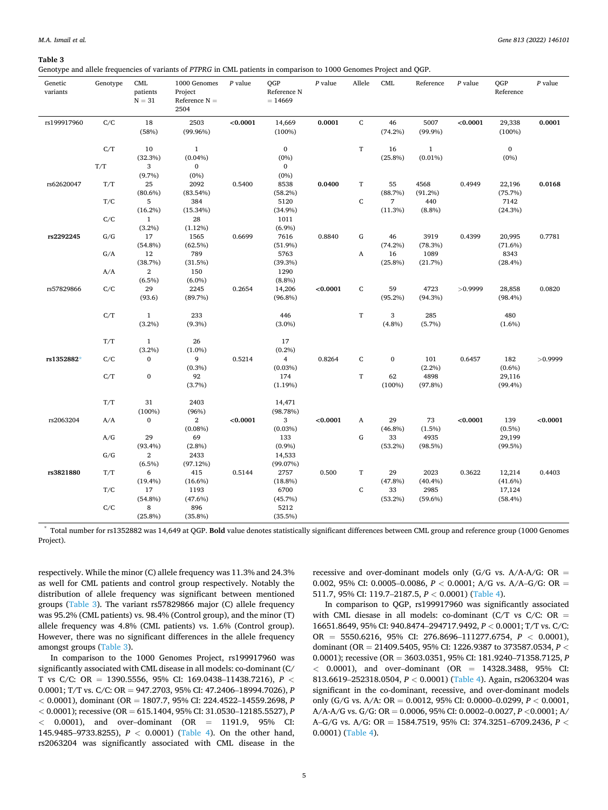#### <span id="page-4-0"></span>**Table 3**

Genotype and allele frequencies of variants of *PTPRG* in CML patients in comparison to 1000 Genomes Project and QGP.

| C/C<br>18<br>2503<br>< 0.0001<br>0.0001<br>${\bf C}$<br>5007<br>< 0.0001<br>0.0001<br>rs199917960<br>14,669<br>46<br>29,338<br>(58%)<br>$(99.96\%)$<br>(100%)<br>$(74.2\%)$<br>$(99.9\%)$<br>(100%)<br>$\mathbf T$<br>C/T<br>10<br>$\mathbf{1}$<br>$\bf{0}$<br>$\,1$<br>$\mathbf{0}$<br>16<br>(32.3%)<br>$(0.04\%)$<br>$(0\%)$<br>$(25.8\%)$<br>$(0.01\%)$<br>$(0\%)$<br>T/T<br>3<br>$\bf{0}$<br>$\mathbf{0}$<br>(9.7%)<br>$(0\%)$<br>$(0\%)$<br>T/T<br>25<br>T<br>rs62620047<br>2092<br>0.5400<br>8538<br>0.0400<br>55<br>4568<br>0.4949<br>22,196<br>0.0168<br>$(80.6\%)$<br>(88.7%)<br>(83.54%)<br>(58.2%)<br>(91.2%)<br>(75.7%)<br>$\mathsf C$<br>T/C<br>5<br>384<br>5120<br>440<br>7<br>7142<br>$(16.2\%)$<br>(11.3%)<br>(15.34%)<br>(8.8%)<br>(34.9%)<br>(24.3%)<br>C/C<br>$\mathbf{1}$<br>28<br>1011<br>$(3.2\%)$<br>(1.12%)<br>(6.9%)<br>1565<br>${\bf G}$<br>46<br>G/G<br>17<br>0.6699<br>7616<br>0.8840<br>3919<br>0.4399<br>20,995<br>0.7781<br>rs2292245<br>(62.5%)<br>(54.8%)<br>(51.9%)<br>(74.2%)<br>(78.3%)<br>$(71.6\%)$<br>789<br>G/A<br>12<br>5763<br>A<br>16<br>1089<br>8343<br>(38.7%)<br>(31.5%)<br>$(39.3\%)$<br>$(25.8\%)$<br>(21.7%)<br>(28.4%)<br>$\,2\,$<br>150<br>1290<br>A/A<br>$(6.5\%)$<br>$(6.0\%)$<br>$(8.8\%)$<br>29<br>2245<br>0.2654<br>< 0.0001<br>C<br>59<br>4723<br>rs57829866<br>C/C<br>14,206<br>>0.9999<br>28,858<br>0.0820<br>(93.6)<br>(89.7%)<br>$(96.8\%)$<br>$(95.2\%)$<br>(94.3%)<br>$(98.4\%)$<br>C/T<br>$\mathbf{1}$<br>233<br>446<br>$\mathbf T$<br>3<br>285<br>480<br>(3.2%)<br>$(9.3\%)$<br>$(3.0\%)$<br>(4.8%)<br>(5.7%)<br>$(1.6\%)$<br>T/T<br>$\mathbf{1}$<br>26<br>17<br>(3.2%)<br>$(0.2\%)$<br>$(1.0\%)$<br>rs1352882*<br>9<br>0.5214<br>0.8264<br>$\mathsf C$<br>$\bf{0}$<br>C/C<br>$\boldsymbol{0}$<br>$\overline{4}$<br>101<br>0.6457<br>182<br>>0.9999<br>(0.3%)<br>(0.03%)<br>$(2.2\%)$<br>$(0.6\%)$<br>C/T<br>$\boldsymbol{0}$<br>$\mathbf T$<br>4898<br>92<br>174<br>62<br>29,116<br>(100%)<br>(3.7%)<br>(1.19%)<br>(97.8%)<br>$(99.4\%)$<br>T/T<br>31<br>2403<br>14,471<br>(100%)<br>(96%)<br>(98.78%)<br>$\bf{0}$<br>$\mathbf{2}$<br>< 0.0001<br>3<br>< 0.0001<br>73<br>< 0.0001<br>< 0.0001<br>rs2063204<br>A/A<br>A<br>29<br>139<br>$(0.08\%)$<br>(0.03%)<br>$(46.8\%)$<br>(1.5%)<br>$(0.5\%)$<br>${\bf G}$<br>A/G<br>29<br>69<br>33<br>4935<br>29,199<br>133<br>(93.4%)<br>(2.8%)<br>(0.9%)<br>(53.2%)<br>(98.5%)<br>(99.5%)<br>G/G<br>$\,2$<br>2433<br>14,533<br>$(6.5\%)$<br>(97.12%)<br>(99.07%)<br>$\mathbf T$<br>rs3821880<br>T/T<br>6<br>415<br>0.5144<br>0.500<br>29<br>2023<br>0.3622<br>0.4403<br>2757<br>12,214<br>(19.4%)<br>$(16.6\%)$<br>(18.8%)<br>(47.8%)<br>$(40.4\%)$<br>$(41.6\%)$<br>T/C<br>17<br>1193<br>$\mathsf C$<br>2985<br>6700<br>33<br>17,124<br>$(54.8\%)$<br>(53.2%)<br>(47.6%)<br>(45.7%)<br>$(59.6\%)$<br>$(58.4\%)$<br>C/C<br>8<br>896<br>5212 | Genetic<br>variants | Genotype | CML<br>patients<br>$N = 31$ | 1000 Genomes<br>Project<br>Reference $N =$<br>2504 | $P$ value | QGP<br>Reference N<br>$= 14669$ | $P$ value | Allele | CML | Reference | $P$ value | QGP<br>Reference | $P$ value |
|------------------------------------------------------------------------------------------------------------------------------------------------------------------------------------------------------------------------------------------------------------------------------------------------------------------------------------------------------------------------------------------------------------------------------------------------------------------------------------------------------------------------------------------------------------------------------------------------------------------------------------------------------------------------------------------------------------------------------------------------------------------------------------------------------------------------------------------------------------------------------------------------------------------------------------------------------------------------------------------------------------------------------------------------------------------------------------------------------------------------------------------------------------------------------------------------------------------------------------------------------------------------------------------------------------------------------------------------------------------------------------------------------------------------------------------------------------------------------------------------------------------------------------------------------------------------------------------------------------------------------------------------------------------------------------------------------------------------------------------------------------------------------------------------------------------------------------------------------------------------------------------------------------------------------------------------------------------------------------------------------------------------------------------------------------------------------------------------------------------------------------------------------------------------------------------------------------------------------------------------------------------------------------------------------------------------------------------------------------------------------------------------------------------------------------------------------------------------------------------------------------------------------------------------------------------------------------------------------------------------------------------------------------------------------------------------------------------------------------------------------------------------------------------------------------------------------------------------------|---------------------|----------|-----------------------------|----------------------------------------------------|-----------|---------------------------------|-----------|--------|-----|-----------|-----------|------------------|-----------|
|                                                                                                                                                                                                                                                                                                                                                                                                                                                                                                                                                                                                                                                                                                                                                                                                                                                                                                                                                                                                                                                                                                                                                                                                                                                                                                                                                                                                                                                                                                                                                                                                                                                                                                                                                                                                                                                                                                                                                                                                                                                                                                                                                                                                                                                                                                                                                                                                                                                                                                                                                                                                                                                                                                                                                                                                                                                      |                     |          |                             |                                                    |           |                                 |           |        |     |           |           |                  |           |
|                                                                                                                                                                                                                                                                                                                                                                                                                                                                                                                                                                                                                                                                                                                                                                                                                                                                                                                                                                                                                                                                                                                                                                                                                                                                                                                                                                                                                                                                                                                                                                                                                                                                                                                                                                                                                                                                                                                                                                                                                                                                                                                                                                                                                                                                                                                                                                                                                                                                                                                                                                                                                                                                                                                                                                                                                                                      |                     |          |                             |                                                    |           |                                 |           |        |     |           |           |                  |           |
|                                                                                                                                                                                                                                                                                                                                                                                                                                                                                                                                                                                                                                                                                                                                                                                                                                                                                                                                                                                                                                                                                                                                                                                                                                                                                                                                                                                                                                                                                                                                                                                                                                                                                                                                                                                                                                                                                                                                                                                                                                                                                                                                                                                                                                                                                                                                                                                                                                                                                                                                                                                                                                                                                                                                                                                                                                                      |                     |          |                             |                                                    |           |                                 |           |        |     |           |           |                  |           |
|                                                                                                                                                                                                                                                                                                                                                                                                                                                                                                                                                                                                                                                                                                                                                                                                                                                                                                                                                                                                                                                                                                                                                                                                                                                                                                                                                                                                                                                                                                                                                                                                                                                                                                                                                                                                                                                                                                                                                                                                                                                                                                                                                                                                                                                                                                                                                                                                                                                                                                                                                                                                                                                                                                                                                                                                                                                      |                     |          |                             |                                                    |           |                                 |           |        |     |           |           |                  |           |
|                                                                                                                                                                                                                                                                                                                                                                                                                                                                                                                                                                                                                                                                                                                                                                                                                                                                                                                                                                                                                                                                                                                                                                                                                                                                                                                                                                                                                                                                                                                                                                                                                                                                                                                                                                                                                                                                                                                                                                                                                                                                                                                                                                                                                                                                                                                                                                                                                                                                                                                                                                                                                                                                                                                                                                                                                                                      |                     |          |                             |                                                    |           |                                 |           |        |     |           |           |                  |           |
|                                                                                                                                                                                                                                                                                                                                                                                                                                                                                                                                                                                                                                                                                                                                                                                                                                                                                                                                                                                                                                                                                                                                                                                                                                                                                                                                                                                                                                                                                                                                                                                                                                                                                                                                                                                                                                                                                                                                                                                                                                                                                                                                                                                                                                                                                                                                                                                                                                                                                                                                                                                                                                                                                                                                                                                                                                                      |                     |          |                             |                                                    |           |                                 |           |        |     |           |           |                  |           |
|                                                                                                                                                                                                                                                                                                                                                                                                                                                                                                                                                                                                                                                                                                                                                                                                                                                                                                                                                                                                                                                                                                                                                                                                                                                                                                                                                                                                                                                                                                                                                                                                                                                                                                                                                                                                                                                                                                                                                                                                                                                                                                                                                                                                                                                                                                                                                                                                                                                                                                                                                                                                                                                                                                                                                                                                                                                      |                     |          |                             |                                                    |           |                                 |           |        |     |           |           |                  |           |
|                                                                                                                                                                                                                                                                                                                                                                                                                                                                                                                                                                                                                                                                                                                                                                                                                                                                                                                                                                                                                                                                                                                                                                                                                                                                                                                                                                                                                                                                                                                                                                                                                                                                                                                                                                                                                                                                                                                                                                                                                                                                                                                                                                                                                                                                                                                                                                                                                                                                                                                                                                                                                                                                                                                                                                                                                                                      |                     |          |                             |                                                    |           |                                 |           |        |     |           |           |                  |           |
|                                                                                                                                                                                                                                                                                                                                                                                                                                                                                                                                                                                                                                                                                                                                                                                                                                                                                                                                                                                                                                                                                                                                                                                                                                                                                                                                                                                                                                                                                                                                                                                                                                                                                                                                                                                                                                                                                                                                                                                                                                                                                                                                                                                                                                                                                                                                                                                                                                                                                                                                                                                                                                                                                                                                                                                                                                                      |                     |          |                             |                                                    |           |                                 |           |        |     |           |           |                  |           |
|                                                                                                                                                                                                                                                                                                                                                                                                                                                                                                                                                                                                                                                                                                                                                                                                                                                                                                                                                                                                                                                                                                                                                                                                                                                                                                                                                                                                                                                                                                                                                                                                                                                                                                                                                                                                                                                                                                                                                                                                                                                                                                                                                                                                                                                                                                                                                                                                                                                                                                                                                                                                                                                                                                                                                                                                                                                      |                     |          |                             |                                                    |           |                                 |           |        |     |           |           |                  |           |
|                                                                                                                                                                                                                                                                                                                                                                                                                                                                                                                                                                                                                                                                                                                                                                                                                                                                                                                                                                                                                                                                                                                                                                                                                                                                                                                                                                                                                                                                                                                                                                                                                                                                                                                                                                                                                                                                                                                                                                                                                                                                                                                                                                                                                                                                                                                                                                                                                                                                                                                                                                                                                                                                                                                                                                                                                                                      |                     |          |                             |                                                    |           |                                 |           |        |     |           |           |                  |           |
|                                                                                                                                                                                                                                                                                                                                                                                                                                                                                                                                                                                                                                                                                                                                                                                                                                                                                                                                                                                                                                                                                                                                                                                                                                                                                                                                                                                                                                                                                                                                                                                                                                                                                                                                                                                                                                                                                                                                                                                                                                                                                                                                                                                                                                                                                                                                                                                                                                                                                                                                                                                                                                                                                                                                                                                                                                                      |                     |          |                             |                                                    |           |                                 |           |        |     |           |           |                  |           |
|                                                                                                                                                                                                                                                                                                                                                                                                                                                                                                                                                                                                                                                                                                                                                                                                                                                                                                                                                                                                                                                                                                                                                                                                                                                                                                                                                                                                                                                                                                                                                                                                                                                                                                                                                                                                                                                                                                                                                                                                                                                                                                                                                                                                                                                                                                                                                                                                                                                                                                                                                                                                                                                                                                                                                                                                                                                      |                     |          |                             |                                                    |           |                                 |           |        |     |           |           |                  |           |
|                                                                                                                                                                                                                                                                                                                                                                                                                                                                                                                                                                                                                                                                                                                                                                                                                                                                                                                                                                                                                                                                                                                                                                                                                                                                                                                                                                                                                                                                                                                                                                                                                                                                                                                                                                                                                                                                                                                                                                                                                                                                                                                                                                                                                                                                                                                                                                                                                                                                                                                                                                                                                                                                                                                                                                                                                                                      |                     |          |                             |                                                    |           |                                 |           |        |     |           |           |                  |           |
|                                                                                                                                                                                                                                                                                                                                                                                                                                                                                                                                                                                                                                                                                                                                                                                                                                                                                                                                                                                                                                                                                                                                                                                                                                                                                                                                                                                                                                                                                                                                                                                                                                                                                                                                                                                                                                                                                                                                                                                                                                                                                                                                                                                                                                                                                                                                                                                                                                                                                                                                                                                                                                                                                                                                                                                                                                                      |                     |          |                             |                                                    |           |                                 |           |        |     |           |           |                  |           |
|                                                                                                                                                                                                                                                                                                                                                                                                                                                                                                                                                                                                                                                                                                                                                                                                                                                                                                                                                                                                                                                                                                                                                                                                                                                                                                                                                                                                                                                                                                                                                                                                                                                                                                                                                                                                                                                                                                                                                                                                                                                                                                                                                                                                                                                                                                                                                                                                                                                                                                                                                                                                                                                                                                                                                                                                                                                      |                     |          |                             |                                                    |           |                                 |           |        |     |           |           |                  |           |
|                                                                                                                                                                                                                                                                                                                                                                                                                                                                                                                                                                                                                                                                                                                                                                                                                                                                                                                                                                                                                                                                                                                                                                                                                                                                                                                                                                                                                                                                                                                                                                                                                                                                                                                                                                                                                                                                                                                                                                                                                                                                                                                                                                                                                                                                                                                                                                                                                                                                                                                                                                                                                                                                                                                                                                                                                                                      |                     |          |                             |                                                    |           |                                 |           |        |     |           |           |                  |           |
|                                                                                                                                                                                                                                                                                                                                                                                                                                                                                                                                                                                                                                                                                                                                                                                                                                                                                                                                                                                                                                                                                                                                                                                                                                                                                                                                                                                                                                                                                                                                                                                                                                                                                                                                                                                                                                                                                                                                                                                                                                                                                                                                                                                                                                                                                                                                                                                                                                                                                                                                                                                                                                                                                                                                                                                                                                                      |                     |          |                             |                                                    |           |                                 |           |        |     |           |           |                  |           |
|                                                                                                                                                                                                                                                                                                                                                                                                                                                                                                                                                                                                                                                                                                                                                                                                                                                                                                                                                                                                                                                                                                                                                                                                                                                                                                                                                                                                                                                                                                                                                                                                                                                                                                                                                                                                                                                                                                                                                                                                                                                                                                                                                                                                                                                                                                                                                                                                                                                                                                                                                                                                                                                                                                                                                                                                                                                      |                     |          |                             |                                                    |           |                                 |           |        |     |           |           |                  |           |
|                                                                                                                                                                                                                                                                                                                                                                                                                                                                                                                                                                                                                                                                                                                                                                                                                                                                                                                                                                                                                                                                                                                                                                                                                                                                                                                                                                                                                                                                                                                                                                                                                                                                                                                                                                                                                                                                                                                                                                                                                                                                                                                                                                                                                                                                                                                                                                                                                                                                                                                                                                                                                                                                                                                                                                                                                                                      |                     |          |                             |                                                    |           |                                 |           |        |     |           |           |                  |           |
|                                                                                                                                                                                                                                                                                                                                                                                                                                                                                                                                                                                                                                                                                                                                                                                                                                                                                                                                                                                                                                                                                                                                                                                                                                                                                                                                                                                                                                                                                                                                                                                                                                                                                                                                                                                                                                                                                                                                                                                                                                                                                                                                                                                                                                                                                                                                                                                                                                                                                                                                                                                                                                                                                                                                                                                                                                                      |                     |          |                             |                                                    |           |                                 |           |        |     |           |           |                  |           |
|                                                                                                                                                                                                                                                                                                                                                                                                                                                                                                                                                                                                                                                                                                                                                                                                                                                                                                                                                                                                                                                                                                                                                                                                                                                                                                                                                                                                                                                                                                                                                                                                                                                                                                                                                                                                                                                                                                                                                                                                                                                                                                                                                                                                                                                                                                                                                                                                                                                                                                                                                                                                                                                                                                                                                                                                                                                      |                     |          |                             |                                                    |           |                                 |           |        |     |           |           |                  |           |
|                                                                                                                                                                                                                                                                                                                                                                                                                                                                                                                                                                                                                                                                                                                                                                                                                                                                                                                                                                                                                                                                                                                                                                                                                                                                                                                                                                                                                                                                                                                                                                                                                                                                                                                                                                                                                                                                                                                                                                                                                                                                                                                                                                                                                                                                                                                                                                                                                                                                                                                                                                                                                                                                                                                                                                                                                                                      |                     |          |                             |                                                    |           |                                 |           |        |     |           |           |                  |           |
|                                                                                                                                                                                                                                                                                                                                                                                                                                                                                                                                                                                                                                                                                                                                                                                                                                                                                                                                                                                                                                                                                                                                                                                                                                                                                                                                                                                                                                                                                                                                                                                                                                                                                                                                                                                                                                                                                                                                                                                                                                                                                                                                                                                                                                                                                                                                                                                                                                                                                                                                                                                                                                                                                                                                                                                                                                                      |                     |          |                             |                                                    |           |                                 |           |        |     |           |           |                  |           |
|                                                                                                                                                                                                                                                                                                                                                                                                                                                                                                                                                                                                                                                                                                                                                                                                                                                                                                                                                                                                                                                                                                                                                                                                                                                                                                                                                                                                                                                                                                                                                                                                                                                                                                                                                                                                                                                                                                                                                                                                                                                                                                                                                                                                                                                                                                                                                                                                                                                                                                                                                                                                                                                                                                                                                                                                                                                      |                     |          |                             |                                                    |           |                                 |           |        |     |           |           |                  |           |
|                                                                                                                                                                                                                                                                                                                                                                                                                                                                                                                                                                                                                                                                                                                                                                                                                                                                                                                                                                                                                                                                                                                                                                                                                                                                                                                                                                                                                                                                                                                                                                                                                                                                                                                                                                                                                                                                                                                                                                                                                                                                                                                                                                                                                                                                                                                                                                                                                                                                                                                                                                                                                                                                                                                                                                                                                                                      |                     |          |                             |                                                    |           |                                 |           |        |     |           |           |                  |           |
|                                                                                                                                                                                                                                                                                                                                                                                                                                                                                                                                                                                                                                                                                                                                                                                                                                                                                                                                                                                                                                                                                                                                                                                                                                                                                                                                                                                                                                                                                                                                                                                                                                                                                                                                                                                                                                                                                                                                                                                                                                                                                                                                                                                                                                                                                                                                                                                                                                                                                                                                                                                                                                                                                                                                                                                                                                                      |                     |          |                             |                                                    |           |                                 |           |        |     |           |           |                  |           |
|                                                                                                                                                                                                                                                                                                                                                                                                                                                                                                                                                                                                                                                                                                                                                                                                                                                                                                                                                                                                                                                                                                                                                                                                                                                                                                                                                                                                                                                                                                                                                                                                                                                                                                                                                                                                                                                                                                                                                                                                                                                                                                                                                                                                                                                                                                                                                                                                                                                                                                                                                                                                                                                                                                                                                                                                                                                      |                     |          |                             |                                                    |           |                                 |           |        |     |           |           |                  |           |
|                                                                                                                                                                                                                                                                                                                                                                                                                                                                                                                                                                                                                                                                                                                                                                                                                                                                                                                                                                                                                                                                                                                                                                                                                                                                                                                                                                                                                                                                                                                                                                                                                                                                                                                                                                                                                                                                                                                                                                                                                                                                                                                                                                                                                                                                                                                                                                                                                                                                                                                                                                                                                                                                                                                                                                                                                                                      |                     |          |                             |                                                    |           |                                 |           |        |     |           |           |                  |           |
|                                                                                                                                                                                                                                                                                                                                                                                                                                                                                                                                                                                                                                                                                                                                                                                                                                                                                                                                                                                                                                                                                                                                                                                                                                                                                                                                                                                                                                                                                                                                                                                                                                                                                                                                                                                                                                                                                                                                                                                                                                                                                                                                                                                                                                                                                                                                                                                                                                                                                                                                                                                                                                                                                                                                                                                                                                                      |                     |          |                             |                                                    |           |                                 |           |        |     |           |           |                  |           |
|                                                                                                                                                                                                                                                                                                                                                                                                                                                                                                                                                                                                                                                                                                                                                                                                                                                                                                                                                                                                                                                                                                                                                                                                                                                                                                                                                                                                                                                                                                                                                                                                                                                                                                                                                                                                                                                                                                                                                                                                                                                                                                                                                                                                                                                                                                                                                                                                                                                                                                                                                                                                                                                                                                                                                                                                                                                      |                     |          |                             |                                                    |           |                                 |           |        |     |           |           |                  |           |
|                                                                                                                                                                                                                                                                                                                                                                                                                                                                                                                                                                                                                                                                                                                                                                                                                                                                                                                                                                                                                                                                                                                                                                                                                                                                                                                                                                                                                                                                                                                                                                                                                                                                                                                                                                                                                                                                                                                                                                                                                                                                                                                                                                                                                                                                                                                                                                                                                                                                                                                                                                                                                                                                                                                                                                                                                                                      |                     |          |                             |                                                    |           |                                 |           |        |     |           |           |                  |           |
|                                                                                                                                                                                                                                                                                                                                                                                                                                                                                                                                                                                                                                                                                                                                                                                                                                                                                                                                                                                                                                                                                                                                                                                                                                                                                                                                                                                                                                                                                                                                                                                                                                                                                                                                                                                                                                                                                                                                                                                                                                                                                                                                                                                                                                                                                                                                                                                                                                                                                                                                                                                                                                                                                                                                                                                                                                                      |                     |          |                             |                                                    |           |                                 |           |        |     |           |           |                  |           |
|                                                                                                                                                                                                                                                                                                                                                                                                                                                                                                                                                                                                                                                                                                                                                                                                                                                                                                                                                                                                                                                                                                                                                                                                                                                                                                                                                                                                                                                                                                                                                                                                                                                                                                                                                                                                                                                                                                                                                                                                                                                                                                                                                                                                                                                                                                                                                                                                                                                                                                                                                                                                                                                                                                                                                                                                                                                      |                     |          |                             |                                                    |           |                                 |           |        |     |           |           |                  |           |
|                                                                                                                                                                                                                                                                                                                                                                                                                                                                                                                                                                                                                                                                                                                                                                                                                                                                                                                                                                                                                                                                                                                                                                                                                                                                                                                                                                                                                                                                                                                                                                                                                                                                                                                                                                                                                                                                                                                                                                                                                                                                                                                                                                                                                                                                                                                                                                                                                                                                                                                                                                                                                                                                                                                                                                                                                                                      |                     |          |                             |                                                    |           |                                 |           |        |     |           |           |                  |           |
|                                                                                                                                                                                                                                                                                                                                                                                                                                                                                                                                                                                                                                                                                                                                                                                                                                                                                                                                                                                                                                                                                                                                                                                                                                                                                                                                                                                                                                                                                                                                                                                                                                                                                                                                                                                                                                                                                                                                                                                                                                                                                                                                                                                                                                                                                                                                                                                                                                                                                                                                                                                                                                                                                                                                                                                                                                                      |                     |          |                             |                                                    |           |                                 |           |        |     |           |           |                  |           |
|                                                                                                                                                                                                                                                                                                                                                                                                                                                                                                                                                                                                                                                                                                                                                                                                                                                                                                                                                                                                                                                                                                                                                                                                                                                                                                                                                                                                                                                                                                                                                                                                                                                                                                                                                                                                                                                                                                                                                                                                                                                                                                                                                                                                                                                                                                                                                                                                                                                                                                                                                                                                                                                                                                                                                                                                                                                      |                     |          |                             |                                                    |           |                                 |           |        |     |           |           |                  |           |
|                                                                                                                                                                                                                                                                                                                                                                                                                                                                                                                                                                                                                                                                                                                                                                                                                                                                                                                                                                                                                                                                                                                                                                                                                                                                                                                                                                                                                                                                                                                                                                                                                                                                                                                                                                                                                                                                                                                                                                                                                                                                                                                                                                                                                                                                                                                                                                                                                                                                                                                                                                                                                                                                                                                                                                                                                                                      |                     |          |                             |                                                    |           |                                 |           |        |     |           |           |                  |           |
|                                                                                                                                                                                                                                                                                                                                                                                                                                                                                                                                                                                                                                                                                                                                                                                                                                                                                                                                                                                                                                                                                                                                                                                                                                                                                                                                                                                                                                                                                                                                                                                                                                                                                                                                                                                                                                                                                                                                                                                                                                                                                                                                                                                                                                                                                                                                                                                                                                                                                                                                                                                                                                                                                                                                                                                                                                                      |                     |          |                             |                                                    |           |                                 |           |        |     |           |           |                  |           |
|                                                                                                                                                                                                                                                                                                                                                                                                                                                                                                                                                                                                                                                                                                                                                                                                                                                                                                                                                                                                                                                                                                                                                                                                                                                                                                                                                                                                                                                                                                                                                                                                                                                                                                                                                                                                                                                                                                                                                                                                                                                                                                                                                                                                                                                                                                                                                                                                                                                                                                                                                                                                                                                                                                                                                                                                                                                      |                     |          |                             |                                                    |           |                                 |           |        |     |           |           |                  |           |
|                                                                                                                                                                                                                                                                                                                                                                                                                                                                                                                                                                                                                                                                                                                                                                                                                                                                                                                                                                                                                                                                                                                                                                                                                                                                                                                                                                                                                                                                                                                                                                                                                                                                                                                                                                                                                                                                                                                                                                                                                                                                                                                                                                                                                                                                                                                                                                                                                                                                                                                                                                                                                                                                                                                                                                                                                                                      |                     |          | $(25.8\%)$                  | $(35.8\%)$                                         |           | (35.5%)                         |           |        |     |           |           |                  |           |

\* Total number for rs1352882 was 14,649 at QGP. **Bold** value denotes statistically significant differences between CML group and reference group (1000 Genomes Project).

respectively. While the minor (C) allele frequency was 11.3% and 24.3% as well for CML patients and control group respectively. Notably the distribution of allele frequency was significant between mentioned groups (Table 3). The variant rs57829866 major (C) allele frequency was 95.2% (CML patients) vs. 98.4% (Control group), and the minor (T) allele frequency was 4.8% (CML patients) vs. 1.6% (Control group). However, there was no significant differences in the allele frequency amongst groups (Table 3).

In comparison to the 1000 Genomes Project, rs199917960 was significantly associated with CML disease in all models: co-dominant (C/ T vs C/C: OR = 1390.5556, 95% CI: 169.0438–11438.7216), *P <* 0.0001; T/T vs. C/C: OR = 947.2703, 95% CI: 47.2406–18994.7026), *P <* 0.0001), dominant (OR = 1807.7, 95% CI: 224.4522–14559.2698, *P <* 0.0001); recessive (OR = 615.1404, 95% CI: 31.0530–12185.5527), *P <* 0.0001), and over–dominant (OR = 1191.9, 95% CI: 145.9485–9733.8255), *P <* 0.0001) [\(Table 4\)](#page-5-0). On the other hand, rs2063204 was significantly associated with CML disease in the recessive and over-dominant models only (G/G vs.  $A/A-A/G$ : OR = 0.002, 95% CI: 0.0005–0.0086, *P <* 0.0001; A/G vs. A/A–G/G: OR = 511.7, 95% CI: 119.7–2187.5, *P <* 0.0001) ([Table 4](#page-5-0)).

In comparison to QGP, rs199917960 was significantly associated with CML diesase in all models: co-dominant (C/T vs C/C: OR = 16651.8649, 95% CI: 940.8474–294717.9492, *P <* 0.0001; T/T vs. C/C: OR = 5550.6216, 95% CI: 276.8696–111277.6754, *P <* 0.0001), dominant (OR = 21409.5405, 95% CI: 1226.9387 to 373587.0534, *P <* 0.0001); recessive (OR = 3603.0351, 95% CI: 181.9240–71358.7125, *P <* 0.0001), and over–dominant (OR = 14328.3488, 95% CI: 813.6619–252318.0504, *P <* 0.0001) ([Table 4](#page-5-0)). Again, rs2063204 was significant in the co-dominant, recessive, and over-dominant models only (G/G vs. A/A: OR = 0.0012, 95% CI: 0.0000–0.0299, *P <* 0.0001, A/A-A/G vs. G/G: OR = 0.0006, 95% CI: 0.0002–0.0027, *P <*0.0001; A/ A–G/G vs. A/G: OR = 1584.7519, 95% CI: 374.3251–6709.2436, *P <* 0.0001) ([Table 4](#page-5-0)).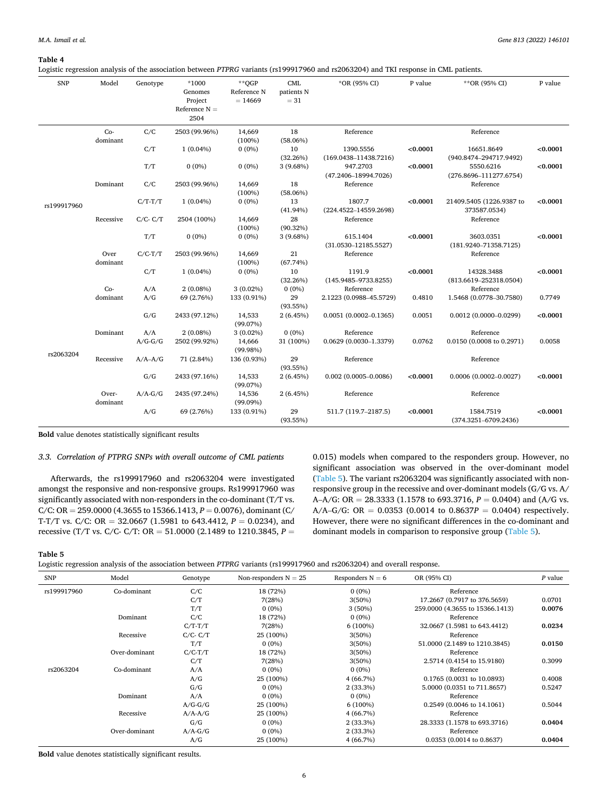#### <span id="page-5-0"></span>**Table 4**

Logistic regression analysis of the association between *PTPRG* variants (rs199917960 and rs2063204) and TKI response in CML patients.

| <b>SNP</b>  | Model             | Genotype      | $*1000$<br>Genomes<br>Project<br>Reference $N =$<br>2504 | $*$ OGP<br>Reference N<br>$= 14669$ | CML<br>patients N<br>$= 31$ | *OR (95% CI)                           | P value  | **OR (95% CI)                            | P value  |
|-------------|-------------------|---------------|----------------------------------------------------------|-------------------------------------|-----------------------------|----------------------------------------|----------|------------------------------------------|----------|
|             | $Co-$<br>dominant | C/C           | 2503 (99.96%)                                            | 14,669<br>$(100\%)$                 | 18<br>$(58.06\%)$           | Reference                              |          | Reference                                |          |
|             |                   | C/T           | $1(0.04\%)$                                              | $0(0\%)$                            | 10<br>(32.26%)              | 1390.5556<br>$(169.0438 - 11438.7216)$ | < 0.0001 | 16651.8649<br>(940.8474-294717.9492)     | < 0.0001 |
|             |                   | T/T           | $0(0\%)$                                                 | $0(0\%)$                            | 3(9.68%)                    | 947.2703<br>$(47.2406 - 18994.7026)$   | < 0.0001 | 5550.6216<br>$(276.8696 - 111277.6754)$  | < 0.0001 |
|             | Dominant          | C/C           | 2503 (99.96%)                                            | 14,669<br>$(100\%)$                 | 18<br>$(58.06\%)$           | Reference                              |          | Reference                                |          |
| rs199917960 |                   | $C/T-T/T$     | $1(0.04\%)$                                              | $0(0\%)$                            | 13<br>$(41.94\%)$           | 1807.7<br>$(224.4522 - 14559.2698)$    | < 0.0001 | 21409.5405 (1226.9387 to<br>373587.0534) | < 0.0001 |
|             | Recessive         | $C/C$ - $C/T$ | 2504 (100%)                                              | 14,669<br>(100%)                    | 28<br>$(90.32\%)$           | Reference                              |          | Reference                                |          |
|             |                   | T/T           | $0(0\%)$                                                 | $0(0\%)$                            | 3(9.68%)                    | 615.1404<br>$(31.0530 - 12185.5527)$   | < 0.0001 | 3603.0351<br>$(181.9240 - 71358.7125)$   | < 0.0001 |
|             | Over<br>dominant  | $C/C-T/T$     | 2503 (99.96%)                                            | 14,669<br>$(100\%)$                 | 21<br>(67.74%)              | Reference                              |          | Reference                                |          |
|             |                   | C/T           | $1(0.04\%)$                                              | $0(0\%)$                            | 10<br>(32.26%)              | 1191.9<br>$(145.9485 - 9733.8255)$     | < 0.0001 | 14328.3488<br>$(813.6619 - 252318.0504)$ | < 0.0001 |
|             | $Co-$<br>dominant | A/A<br>A/G    | $2(0.08\%)$<br>69 (2.76%)                                | $3(0.02\%)$<br>133 (0.91%)          | $0(0\%)$<br>29              | Reference<br>2.1223 (0.0988-45.5729)   | 0.4810   | Reference<br>1.5468 (0.0778-30.7580)     | 0.7749   |
|             |                   | G/G           | 2433 (97.12%)                                            | 14,533<br>(99.07%)                  | (93.55%)<br>2(6.45%)        | $0.0051(0.0002 - 0.1365)$              | 0.0051   | $0.0012(0.0000 - 0.0299)$                | < 0.0001 |
|             | Dominant          | A/A           | $2(0.08\%)$                                              | $3(0.02\%)$                         | $0(0\%)$                    | Reference                              |          | Reference                                |          |
|             |                   | $A/G-G/G$     | 2502 (99.92%)                                            | 14,666<br>(99.98%)                  | 31 (100%)                   | $0.0629(0.0030 - 1.3379)$              | 0.0762   | 0.0150 (0.0008 to 0.2971)                | 0.0058   |
| rs2063204   | Recessive         | $A/A-A/G$     | 71 (2.84%)                                               | 136 (0.93%)                         | 29<br>(93.55%)              | Reference                              |          | Reference                                |          |
|             |                   | G/G           | 2433 (97.16%)                                            | 14,533<br>(99.07%)                  | 2(6.45%)                    | $0.002(0.0005 - 0.0086)$               | < 0.0001 | $0.0006(0.0002 - 0.0027)$                | < 0.0001 |
|             | Over-<br>dominant | $A/A-G/G$     | 2435 (97.24%)                                            | 14,536<br>$(99.09\%)$               | 2(6.45%)                    | Reference                              |          | Reference                                |          |
|             |                   | A/G           | 69 (2.76%)                                               | 133 (0.91%)                         | 29<br>(93.55%)              | 511.7 (119.7-2187.5)                   | < 0.0001 | 1584.7519<br>$(374.3251 - 6709.2436)$    | < 0.0001 |

**Bold** value denotes statistically significant results

## *3.3. Correlation of PTPRG SNPs with overall outcome of CML patients*

Afterwards, the rs199917960 and rs2063204 were investigated amongst the responsive and non-responsive groups. Rs199917960 was significantly associated with non-responders in the co-dominant (T/T vs. C/C: OR = 259.0000 (4.3655 to 15366.1413,  $P = 0.0076$ ), dominant (C/ T-T/T vs. C/C: OR = 32.0667 (1.5981 to 643.4412,  $P = 0.0234$ ), and recessive (T/T vs. C/C- C/T: OR = 51.0000 (2.1489 to 1210.3845, *P* =

0.015) models when compared to the responders group. However, no significant association was observed in the over-dominant model (Table 5). The variant rs2063204 was significantly associated with nonresponsive group in the recessive and over-dominant models (G/G vs. A/ A–A/G: OR = 28.3333 (1.1578 to 693.3716, *P* = 0.0404) and (A/G vs. A/A–G/G: OR = 0.0353 (0.0014 to 0.8637*P* = 0.0404) respectively. However, there were no significant differences in the co-dominant and dominant models in comparison to responsive group (Table 5).

#### **Table 5**

Logistic regression analysis of the association between *PTPRG* variants (rs199917960 and rs2063204) and overall response.

| <b>SNP</b>  | Model         | Genotype      | Non-responders $N = 25$ | Responders $N = 6$ | OR (95% CI)                     | P value |
|-------------|---------------|---------------|-------------------------|--------------------|---------------------------------|---------|
| rs199917960 | Co-dominant   | C/C           | 18 (72%)                | $0(0\%)$           | Reference                       |         |
|             |               | C/T           | 7(28%)                  | 3(50%)             | 17.2667 (0.7917 to 376.5659)    | 0.0701  |
|             |               | T/T           | $0(0\%)$                | 3(50%)             | 259,0000 (4.3655 to 15366.1413) | 0.0076  |
|             | Dominant      | C/C           | 18 (72%)                | $0(0\%)$           | Reference                       |         |
|             |               | $C/T-T/T$     | 7(28%)                  | $6(100\%)$         | 32.0667 (1.5981 to 643.4412)    | 0.0234  |
|             | Recessive     | $C/C$ - $C/T$ | 25 (100%)               | 3(50%)             | Reference                       |         |
|             |               | T/T           | $0(0\%)$                | 3(50%)             | 51,0000 (2.1489 to 1210.3845)   | 0.0150  |
|             | Over-dominant | $C/C-T/T$     | 18 (72%)                | 3(50%)             | Reference                       |         |
|             |               | C/T           | 7(28%)                  | 3(50%)             | 2.5714 (0.4154 to 15.9180)      | 0.3099  |
| rs2063204   | Co-dominant   | A/A           | $0(0\%)$                | $0(0\%)$           | Reference                       |         |
|             |               | A/G           | 25 (100%)               | 4(66.7%)           | 0.1765 (0.0031 to 10.0893)      | 0.4008  |
|             |               | G/G           | $0(0\%)$                | $2(33.3\%)$        | 5.0000 (0.0351 to 711.8657)     | 0.5247  |
|             | Dominant      | A/A           | $0(0\%)$                | $0(0\%)$           | Reference                       |         |
|             |               | $A/G-G/G$     | 25 (100%)               | $6(100\%)$         | 0.2549 (0.0046 to 14.1061)      | 0.5044  |
|             | Recessive     | $A/A-A/G$     | 25 (100%)               | 4 (66.7%)          | Reference                       |         |
|             |               | G/G           | $0(0\%)$                | $2(33.3\%)$        | 28.3333 (1.1578 to 693.3716)    | 0.0404  |
|             | Over-dominant | $A/A-G/G$     | $0(0\%)$                | $2(33.3\%)$        | Reference                       |         |
|             |               | A/G           | 25 (100%)               | 4(66.7%)           | 0.0353 (0.0014 to 0.8637)       | 0.0404  |

**Bold** value denotes statistically significant results.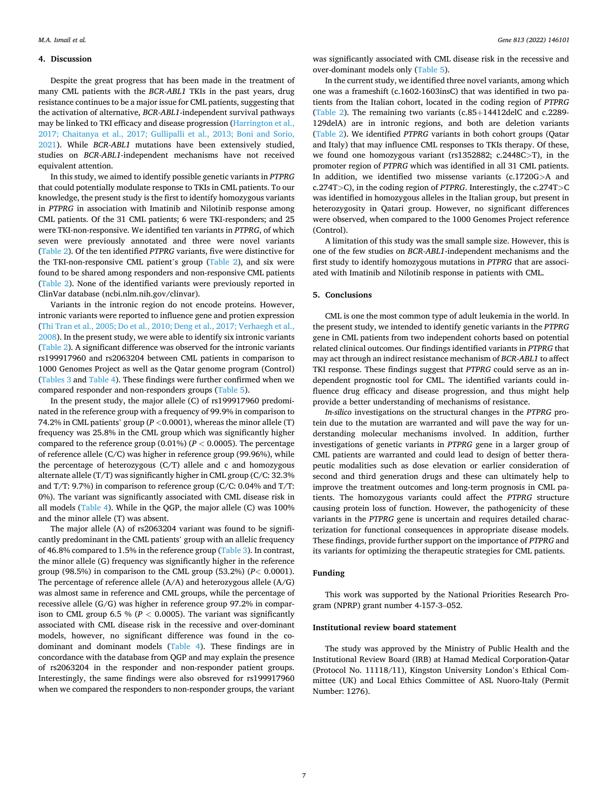#### **4. Discussion**

Despite the great progress that has been made in the treatment of many CML patients with the *BCR-ABL1* TKIs in the past years, drug resistance continues to be a major issue for CML patients, suggesting that the activation of alternative, *BCR-ABL1*-independent survival pathways may be linked to TKI efficacy and disease progression ([Harrington et al.,](#page-7-0)  [2017; Chaitanya et al., 2017; Gullipalli et al., 2013; Boni and Sorio,](#page-7-0)  [2021\)](#page-7-0). While *BCR-ABL1* mutations have been extensively studied, studies on *BCR-ABL1*-independent mechanisms have not received equivalent attention.

In this study, we aimed to identify possible genetic variants in *PTPRG*  that could potentially modulate response to TKIs in CML patients. To our knowledge, the present study is the first to identify homozygous variants in *PTPRG* in association with Imatinib and Nilotinib response among CML patients. Of the 31 CML patients; 6 were TKI-responders; and 25 were TKI-non-responsive. We identified ten variants in *PTPRG*, of which seven were previously annotated and three were novel variants ([Table 2\)](#page-3-0). Of the ten identified *PTPRG* variants, five were distinctive for the TKI-non-responsive CML patient's group [\(Table 2\)](#page-3-0), and six were found to be shared among responders and non-responsive CML patients ([Table 2\)](#page-3-0). None of the identified variants were previously reported in ClinVar database (ncbi.nlm.nih.gov/clinvar).

Variants in the intronic region do not encode proteins. However, intronic variants were reported to influence gene and protien expression ([Thi Tran et al., 2005; Do et al., 2010; Deng et al., 2017;](#page-7-0) [Verhaegh et al.,](#page-8-0)  [2008\)](#page-8-0). In the present study, we were able to identify six intronic variants ([Table 2\)](#page-3-0). A significant difference was observed for the intronic variants rs199917960 and rs2063204 between CML patients in comparison to 1000 Genomes Project as well as the Qatar genome program (Control) ([Tables 3](#page-4-0) and [Table 4](#page-5-0)). These findings were further confirmed when we compared responder and non-responders groups [\(Table 5\)](#page-5-0).

In the present study, the major allele (C) of rs199917960 predominated in the reference group with a frequency of 99.9% in comparison to 74.2% in CML patients' group (*P <*0.0001), whereas the minor allele (T) frequency was 25.8% in the CML group which was significantly higher compared to the reference group (0.01%) (*P <* 0.0005). The percentage of reference allele (C/C) was higher in reference group (99.96%), while the percentage of heterozygous (C/T) allele and c and homozygous alternate allele (T/T) was significantly higher in CML group (C/C: 32.3% and T/T: 9.7%) in comparison to reference group (C/C: 0.04% and T/T: 0%). The variant was significantly associated with CML disease risk in all models [\(Table 4\)](#page-5-0). While in the QGP, the major allele (C) was 100% and the minor allele (T) was absent.

The major allele (A) of rs2063204 variant was found to be significantly predominant in the CML patients' group with an allelic frequency of 46.8% compared to 1.5% in the reference group ([Table 3](#page-4-0)). In contrast, the minor allele (G) frequency was significantly higher in the reference group (98.5%) in comparison to the CML group (53.2%) (*P<* 0.0001). The percentage of reference allele (A/A) and heterozygous allele (A/G) was almost same in reference and CML groups, while the percentage of recessive allele (G/G) was higher in reference group 97.2% in comparison to CML group 6.5 % (*P <* 0.0005). The variant was significantly associated with CML disease risk in the recessive and over-dominant models, however, no significant difference was found in the codominant and dominant models [\(Table 4](#page-5-0)). These findings are in concordance with the database from QGP and may explain the presence of rs2063204 in the responder and non-responder patient groups. Interestingly, the same findings were also obsreved for rs199917960 when we compared the responders to non-responder groups, the variant

was significantly associated with CML disease risk in the recessive and over-dominant models only [\(Table 5\)](#page-5-0).

In the current study, we identified three novel variants, among which one was a frameshift (c.1602-1603insC) that was identified in two patients from the Italian cohort, located in the coding region of *PTPRG*  ([Table 2\)](#page-3-0). The remaining two variants (c.85+14412delC and c.2289- 129delA) are in intronic regions, and both are deletion variants ([Table 2](#page-3-0)). We identified *PTPRG* variants in both cohort groups (Qatar and Italy) that may influence CML responses to TKIs therapy. Of these, we found one homozygous variant (rs1352882; c.2448C*>*T), in the promoter region of *PTPRG* which was identified in all 31 CML patients. In addition, we identified two missense variants (c.1720G*>*A and c.274T*>*C), in the coding region of *PTPRG*. Interestingly, the c.274T*>*C was identified in homozygous alleles in the Italian group, but present in heterozygosity in Qatari group. However, no significant differences were observed, when compared to the 1000 Genomes Project reference (Control).

A limitation of this study was the small sample size. However, this is one of the few studies on *BCR-ABL1*-independent mechanisms and the first study to identify homozygous mutations in *PTPRG* that are associated with Imatinib and Nilotinib response in patients with CML.

## **5. Conclusions**

CML is one the most common type of adult leukemia in the world. In the present study, we intended to identify genetic variants in the *PTPRG*  gene in CML patients from two independent cohorts based on potential related clinical outcomes. Our findings identified variants in *PTPRG* that may act through an indirect resistance mechanism of *BCR-ABL1* to affect TKI response. These findings suggest that *PTPRG* could serve as an independent prognostic tool for CML. The identified variants could influence drug efficacy and disease progression, and thus might help provide a better understanding of mechanisms of resistance.

*In-silico* investigations on the structural changes in the *PTPRG* protein due to the mutation are warranted and will pave the way for understanding molecular mechanisms involved. In addition, further investigations of genetic variants in *PTPRG* gene in a larger group of CML patients are warranted and could lead to design of better therapeutic modalities such as dose elevation or earlier consideration of second and third generation drugs and these can ultimately help to improve the treatment outcomes and long-term prognosis in CML patients. The homozygous variants could affect the *PTPRG* structure causing protein loss of function. However, the pathogenicity of these variants in the *PTPRG* gene is uncertain and requires detailed characterization for functional consequences in appropriate disease models. These findings, provide further support on the importance of *PTPRG* and its variants for optimizing the therapeutic strategies for CML patients.

## **Funding**

This work was supported by the National Priorities Research Program (NPRP) grant number 4-157-3–052.

## **Institutional review board statement**

The study was approved by the Ministry of Public Health and the Institutional Review Board (IRB) at Hamad Medical Corporation-Qatar (Protocol No. 11118/11), Kingston University London's Ethical Committee (UK) and Local Ethics Committee of ASL Nuoro-Italy (Permit Number: 1276).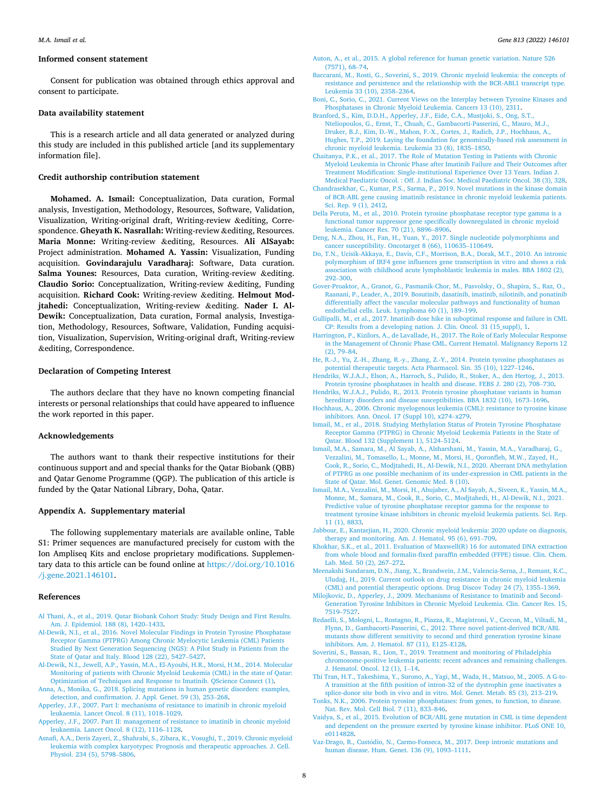#### <span id="page-7-0"></span>**Informed consent statement**

Consent for publication was obtained through ethics approval and consent to participate.

## **Data availability statement**

This is a research article and all data generated or analyzed during this study are included in this published article [and its supplementary information file].

## **Credit authorship contribution statement**

**Mohamed. A. Ismail:** Conceptualization, Data curation, Formal analysis, Investigation, Methodology, Resources, Software, Validation, Visualization, Writing-original draft, Writing-review &editing, Correspondence. **Gheyath K. Nasrallah:** Writing-review &editing, Resources. **Maria Monne:** Writing-review &editing, Resources. **Ali AlSayab:**  Project administration. **Mohamed A. Yassin:** Visualization, Funding acquisition. **Govindarajulu Varadharaj:** Software, Data curation. **Salma Younes:** Resources, Data curation, Writing-review &editing. **Claudio Sorio:** Conceptualization, Writing-review &editing, Funding acquisition. **Richard Cook:** Writing-review &editing. **Helmout Modjtahedi:** Conceptualization, Writing-review &editing. **Nader I. Al-Dewik:** Conceptualization, Data curation, Formal analysis, Investigation, Methodology, Resources, Software, Validation, Funding acquisition, Visualization, Supervision, Writing-original draft, Writing-review &editing, Correspondence.

## **Declaration of Competing Interest**

The authors declare that they have no known competing financial interests or personal relationships that could have appeared to influence the work reported in this paper.

#### **Acknowledgements**

The authors want to thank their respective institutions for their continuous support and and special thanks for the Qatar Biobank (QBB) and Qatar Genome Programme (QGP). The publication of this article is funded by the Qatar National Library, Doha, Qatar.

## **Appendix A. Supplementary material**

The following supplementary materials are available online, Table S1: Primer sequences are manufactured precisely for custom with the Ion Ampliseq Kits and enclose proprietary modifications. Supplementary data to this article can be found online at [https://doi.org/10.1016](https://doi.org/10.1016/j.gene.2021.146101)  [/j.gene.2021.146101.](https://doi.org/10.1016/j.gene.2021.146101)

## **References**

- [Al Thani, A., et al., 2019. Qatar Biobank Cohort Study: Study Design and First Results.](http://refhub.elsevier.com/S0378-1119(21)00696-X/h0005)  [Am. J. Epidemiol. 188 \(8\), 1420](http://refhub.elsevier.com/S0378-1119(21)00696-X/h0005)–1433.
- [Al-Dewik, N.I., et al., 2016. Novel Molecular Findings in Protein Tyrosine Phosphatase](http://refhub.elsevier.com/S0378-1119(21)00696-X/h0010) [Receptor Gamma \(PTPRG\) Among Chronic Myelocytic Leukemia \(CML\) Patients](http://refhub.elsevier.com/S0378-1119(21)00696-X/h0010)  [Studied By Next Generation Sequencing \(NGS\): A Pilot Study in Patients from the](http://refhub.elsevier.com/S0378-1119(21)00696-X/h0010) [State of Qatar and Italy. Blood 128 \(22\), 5427](http://refhub.elsevier.com/S0378-1119(21)00696-X/h0010)–5427.
- [Al-Dewik, N.I., Jewell, A.P., Yassin, M.A., El-Ayoubi, H.R., Morsi, H.M., 2014. Molecular](http://refhub.elsevier.com/S0378-1119(21)00696-X/h0015)  [Monitoring of patients with Chronic Myeloid Leukemia \(CML\) in the state of Qatar:](http://refhub.elsevier.com/S0378-1119(21)00696-X/h0015)  [Optimization of Techniques and Response to Imatinib. QScience Connect \(1\)](http://refhub.elsevier.com/S0378-1119(21)00696-X/h0015).
- [Anna, A., Monika, G., 2018. Splicing mutations in human genetic disorders: examples,](http://refhub.elsevier.com/S0378-1119(21)00696-X/h0020) [detection, and confirmation. J. Appl. Genet. 59 \(3\), 253](http://refhub.elsevier.com/S0378-1119(21)00696-X/h0020)–268.
- [Apperley, J.F., 2007. Part I: mechanisms of resistance to imatinib in chronic myeloid](http://refhub.elsevier.com/S0378-1119(21)00696-X/h0025)  [leukaemia. Lancet Oncol. 8 \(11\), 1018](http://refhub.elsevier.com/S0378-1119(21)00696-X/h0025)–1029.
- [Apperley, J.F., 2007. Part II: management of resistance to imatinib in chronic myeloid](http://refhub.elsevier.com/S0378-1119(21)00696-X/h0030) [leukaemia. Lancet Oncol. 8 \(12\), 1116](http://refhub.elsevier.com/S0378-1119(21)00696-X/h0030)–1128.
- [Asnafi, A.A., Deris Zayeri, Z., Shahrabi, S., Zibara, K., Vosughi, T., 2019. Chronic myeloid](http://refhub.elsevier.com/S0378-1119(21)00696-X/h0035)  [leukemia with complex karyotypes: Prognosis and therapeutic approaches. J. Cell.](http://refhub.elsevier.com/S0378-1119(21)00696-X/h0035) [Physiol. 234 \(5\), 5798](http://refhub.elsevier.com/S0378-1119(21)00696-X/h0035)–5806.
- [Auton, A., et al., 2015. A global reference for human genetic variation. Nature 526](http://refhub.elsevier.com/S0378-1119(21)00696-X/h9000) [\(7571\), 68](http://refhub.elsevier.com/S0378-1119(21)00696-X/h9000)–74.
- [Baccarani, M., Rosti, G., Soverini, S., 2019. Chronic myeloid leukemia: the concepts of](http://refhub.elsevier.com/S0378-1119(21)00696-X/h0045) [resistance and persistence and the relationship with the BCR-ABL1 transcript type.](http://refhub.elsevier.com/S0378-1119(21)00696-X/h0045) [Leukemia 33 \(10\), 2358](http://refhub.elsevier.com/S0378-1119(21)00696-X/h0045)–2364.
- [Boni, C., Sorio, C., 2021. Current Views on the Interplay between Tyrosine Kinases and](http://refhub.elsevier.com/S0378-1119(21)00696-X/h0050)  [Phosphatases in Chronic Myeloid Leukemia. Cancers 13 \(10\), 2311.](http://refhub.elsevier.com/S0378-1119(21)00696-X/h0050)
- [Branford, S., Kim, D.D.H., Apperley, J.F., Eide, C.A., Mustjoki, S., Ong, S.T.,](http://refhub.elsevier.com/S0378-1119(21)00696-X/h0055)  [Nteliopoulos, G., Ernst, T., Chuah, C., Gambacorti-Passerini, C., Mauro, M.J.,](http://refhub.elsevier.com/S0378-1119(21)00696-X/h0055) [Druker, B.J., Kim, D.-W., Mahon, F.-X., Cortes, J., Radich, J.P., Hochhaus, A.,](http://refhub.elsevier.com/S0378-1119(21)00696-X/h0055) [Hughes, T.P., 2019. Laying the foundation for genomically-based risk assessment in](http://refhub.elsevier.com/S0378-1119(21)00696-X/h0055)  [chronic myeloid leukemia. Leukemia 33 \(8\), 1835](http://refhub.elsevier.com/S0378-1119(21)00696-X/h0055)–1850.
- [Chaitanya, P.K., et al., 2017. The Role of Mutation Testing in Patients with Chronic](http://refhub.elsevier.com/S0378-1119(21)00696-X/h0060)  [Myeloid Leukemia in Chronic Phase after Imatinib Failure and Their Outcomes after](http://refhub.elsevier.com/S0378-1119(21)00696-X/h0060)  [Treatment Modification: Single-institutional Experience Over 13 Years. Indian J.](http://refhub.elsevier.com/S0378-1119(21)00696-X/h0060)  [Medical Paediatric Oncol. : Off. J. Indian Soc. Medical Paediatric Oncol. 38 \(3\), 328.](http://refhub.elsevier.com/S0378-1119(21)00696-X/h0060)
- [Chandrasekhar, C., Kumar, P.S., Sarma, P., 2019. Novel mutations in the kinase domain](http://refhub.elsevier.com/S0378-1119(21)00696-X/h0065)  [of BCR-ABL gene causing imatinib resistance in chronic myeloid leukemia patients.](http://refhub.elsevier.com/S0378-1119(21)00696-X/h0065)  [Sci. Rep. 9 \(1\), 2412.](http://refhub.elsevier.com/S0378-1119(21)00696-X/h0065)
- [Della Peruta, M., et al., 2010. Protein tyrosine phosphatase receptor type gamma is a](http://refhub.elsevier.com/S0378-1119(21)00696-X/h0070) [functional tumor suppressor gene specifically downregulated in chronic myeloid](http://refhub.elsevier.com/S0378-1119(21)00696-X/h0070)  [leukemia. Cancer Res. 70 \(21\), 8896](http://refhub.elsevier.com/S0378-1119(21)00696-X/h0070)–8906.
- [Deng, N.A., Zhou, H., Fan, H., Yuan, Y., 2017. Single nucleotide polymorphisms and](http://refhub.elsevier.com/S0378-1119(21)00696-X/h0075) [cancer susceptibility. Oncotarget 8 \(66\), 110635](http://refhub.elsevier.com/S0378-1119(21)00696-X/h0075)–110649.
- [Do, T.N., Ucisik-Akkaya, E., Davis, C.F., Morrison, B.A., Dorak, M.T., 2010. An intronic](http://refhub.elsevier.com/S0378-1119(21)00696-X/h0080)  [polymorphism of IRF4 gene influences gene transcription in vitro and shows a risk](http://refhub.elsevier.com/S0378-1119(21)00696-X/h0080) [association with childhood acute lymphoblastic leukemia in males. BBA 1802 \(2\),](http://refhub.elsevier.com/S0378-1119(21)00696-X/h0080)  292–[300](http://refhub.elsevier.com/S0378-1119(21)00696-X/h0080).
- [Gover-Proaktor, A., Granot, G., Pasmanik-Chor, M., Pasvolsky, O., Shapira, S., Raz, O.,](http://refhub.elsevier.com/S0378-1119(21)00696-X/h0085)  [Raanani, P., Leader, A., 2019. Bosutinib, dasatinib, imatinib, nilotinib, and ponatinib](http://refhub.elsevier.com/S0378-1119(21)00696-X/h0085)  differentially affect the vascular molecular pathways and functionality of human [endothelial cells. Leuk. Lymphoma 60 \(1\), 189](http://refhub.elsevier.com/S0378-1119(21)00696-X/h0085)–199.
- [Gullipalli, M., et al., 2017. Imatinib dose hike in suboptimal response and failure in CML](http://refhub.elsevier.com/S0378-1119(21)00696-X/h0095)  [CP: Results from a developing nation. J. Clin. Oncol. 31 \(15\\_suppl\), 1](http://refhub.elsevier.com/S0378-1119(21)00696-X/h0095).
- [Harrington, P., Kizilors, A., de Lavallade, H., 2017. The Role of Early Molecular Response](http://refhub.elsevier.com/S0378-1119(21)00696-X/h0100)  [in the Management of Chronic Phase CML. Current Hematol. Malignancy Reports 12](http://refhub.elsevier.com/S0378-1119(21)00696-X/h0100)  [\(2\), 79](http://refhub.elsevier.com/S0378-1119(21)00696-X/h0100)–84.
- [He, R.-J., Yu, Z.-H., Zhang, R.-y., Zhang, Z.-Y., 2014. Protein tyrosine phosphatases as](http://refhub.elsevier.com/S0378-1119(21)00696-X/h0105)  [potential therapeutic targets. Acta Pharmacol. Sin. 35 \(10\), 1227](http://refhub.elsevier.com/S0378-1119(21)00696-X/h0105)–1246.
- [Hendriks, W.J.A.J., Elson, A., Harroch, S., Pulido, R., Stoker, A., den Hertog, J., 2013.](http://refhub.elsevier.com/S0378-1119(21)00696-X/h0110) [Protein tyrosine phosphatases in health and disease. FEBS J. 280 \(2\), 708](http://refhub.elsevier.com/S0378-1119(21)00696-X/h0110)–730.
- [Hendriks, W.J.A.J., Pulido, R., 2013. Protein tyrosine phosphatase variants in human](http://refhub.elsevier.com/S0378-1119(21)00696-X/h0115)  [hereditary disorders and disease susceptibilities. BBA 1832 \(10\), 1673](http://refhub.elsevier.com/S0378-1119(21)00696-X/h0115)-1696.
- [Hochhaus, A., 2006. Chronic myelogenous leukemia \(CML\): resistance to tyrosine kinase](http://refhub.elsevier.com/S0378-1119(21)00696-X/h0120)  [inhibitors. Ann. Oncol. 17 \(Suppl 10\), x274](http://refhub.elsevier.com/S0378-1119(21)00696-X/h0120)–x279.
- [Ismail, M., et al., 2018. Studying Methylation Status of Protein Tyrosine Phosphatase](http://refhub.elsevier.com/S0378-1119(21)00696-X/h0125)  [Receptor Gamma \(PTPRG\) in Chronic Myeloid Leukemia Patients in the State of](http://refhub.elsevier.com/S0378-1119(21)00696-X/h0125)  [Qatar. Blood 132 \(Supplement 1\), 5124](http://refhub.elsevier.com/S0378-1119(21)00696-X/h0125)–5124.
- [Ismail, M.A., Samara, M., Al Sayab, A., Alsharshani, M., Yassin, M.A., Varadharaj, G.,](http://refhub.elsevier.com/S0378-1119(21)00696-X/h0130)  [Vezzalini, M., Tomasello, L., Monne, M., Morsi, H., Qoronfleh, M.W., Zayed, H.,](http://refhub.elsevier.com/S0378-1119(21)00696-X/h0130) [Cook, R., Sorio, C., Modjtahedi, H., Al-Dewik, N.I., 2020. Aberrant DNA methylation](http://refhub.elsevier.com/S0378-1119(21)00696-X/h0130)  [of PTPRG as one possible mechanism of its under-expression in CML patients in the](http://refhub.elsevier.com/S0378-1119(21)00696-X/h0130)  [State of Qatar. Mol. Genet. Genomic Med. 8 \(10\)](http://refhub.elsevier.com/S0378-1119(21)00696-X/h0130).
- [Ismail, M.A., Vezzalini, M., Morsi, H., Abujaber, A., Al Sayab, A., Siveen, K., Yassin, M.A.,](http://refhub.elsevier.com/S0378-1119(21)00696-X/h0135)  [Monne, M., Samara, M., Cook, R., Sorio, C., Modjtahedi, H., Al-Dewik, N.I., 2021.](http://refhub.elsevier.com/S0378-1119(21)00696-X/h0135)  [Predictive value of tyrosine phosphatase receptor gamma for the response to](http://refhub.elsevier.com/S0378-1119(21)00696-X/h0135)  [treatment tyrosine kinase inhibitors in chronic myeloid leukemia patients. Sci. Rep.](http://refhub.elsevier.com/S0378-1119(21)00696-X/h0135)  [11 \(1\), 8833.](http://refhub.elsevier.com/S0378-1119(21)00696-X/h0135)
- [Jabbour, E., Kantarjian, H., 2020. Chronic myeloid leukemia: 2020 update on diagnosis,](http://refhub.elsevier.com/S0378-1119(21)00696-X/h0140)  [therapy and monitoring. Am. J. Hematol. 95 \(6\), 691](http://refhub.elsevier.com/S0378-1119(21)00696-X/h0140)–709.
- [Khokhar, S.K., et al., 2011. Evaluation of Maxwell\(R\) 16 for automated DNA extraction](http://refhub.elsevier.com/S0378-1119(21)00696-X/h0145)  [from whole blood and formalin-fixed paraffin embedded \(FFPE\) tissue. Clin. Chem.](http://refhub.elsevier.com/S0378-1119(21)00696-X/h0145)  [Lab. Med. 50 \(2\), 267](http://refhub.elsevier.com/S0378-1119(21)00696-X/h0145)–272.
- [Meenakshi Sundaram, D.N., Jiang, X., Brandwein, J.M., Valencia-Serna, J., Remant, K.C.,](http://refhub.elsevier.com/S0378-1119(21)00696-X/h0150)  Uludağ, H., 2019. Current outlook on drug resistance in chronic myeloid leukemia [\(CML\) and potential therapeutic options. Drug Discov Today 24 \(7\), 1355](http://refhub.elsevier.com/S0378-1119(21)00696-X/h0150)–1369.
- [Milojkovic, D., Apperley, J., 2009. Mechanisms of Resistance to Imatinib and Second-](http://refhub.elsevier.com/S0378-1119(21)00696-X/h0155)[Generation Tyrosine Inhibitors in Chronic Myeloid Leukemia. Clin. Cancer Res. 15,](http://refhub.elsevier.com/S0378-1119(21)00696-X/h0155)  [7519](http://refhub.elsevier.com/S0378-1119(21)00696-X/h0155)–7527.
- [Redaelli, S., Mologni, L., Rostagno, R., Piazza, R., Magistroni, V., Ceccon, M., Viltadi, M.,](http://refhub.elsevier.com/S0378-1119(21)00696-X/h0160)  [Flynn, D., Gambacorti-Passerini, C., 2012. Three novel patient-derived BCR/ABL](http://refhub.elsevier.com/S0378-1119(21)00696-X/h0160) [mutants show different sensitivity to second and third generation tyrosine kinase](http://refhub.elsevier.com/S0378-1119(21)00696-X/h0160) [inhibitors. Am. J. Hematol. 87 \(11\), E125](http://refhub.elsevier.com/S0378-1119(21)00696-X/h0160)–E128.
- [Soverini, S., Bassan, R., Lion, T., 2019. Treatment and monitoring of Philadelphia](http://refhub.elsevier.com/S0378-1119(21)00696-X/h0165) [chromosome-positive leukemia patients: recent advances and remaining challenges.](http://refhub.elsevier.com/S0378-1119(21)00696-X/h0165)  [J. Hematol. Oncol. 12 \(1\), 1](http://refhub.elsevier.com/S0378-1119(21)00696-X/h0165)–14.
- [Thi Tran, H.T., Takeshima, Y., Surono, A., Yagi, M., Wada, H., Matsuo, M., 2005. A G-to-](http://refhub.elsevier.com/S0378-1119(21)00696-X/h0170)[A transition at the fifth position of intron-32 of the dystrophin gene inactivates a](http://refhub.elsevier.com/S0378-1119(21)00696-X/h0170) [splice-donor site both in vivo and in vitro. Mol. Genet. Metab. 85 \(3\), 213](http://refhub.elsevier.com/S0378-1119(21)00696-X/h0170)–219.
- [Tonks, N.K., 2006. Protein tyrosine phosphatases: from genes, to function, to disease.](http://refhub.elsevier.com/S0378-1119(21)00696-X/h0175) [Nat. Rev. Mol. Cell Biol. 7 \(11\), 833](http://refhub.elsevier.com/S0378-1119(21)00696-X/h0175)–846.
- [Vaidya, S., et al., 2015. Evolution of BCR/ABL gene mutation in CML is time dependent](http://refhub.elsevier.com/S0378-1119(21)00696-X/h0180)  [and dependent on the pressure exerted by tyrosine kinase inhibitor. PLoS ONE 10,](http://refhub.elsevier.com/S0378-1119(21)00696-X/h0180) [e0114828.](http://refhub.elsevier.com/S0378-1119(21)00696-X/h0180)
- Vaz-Drago, R., Custódio, N., Carmo-Fonseca, M., 2017. Deep intronic mutations and [human disease. Hum. Genet. 136 \(9\), 1093](http://refhub.elsevier.com/S0378-1119(21)00696-X/h0185)–1111.